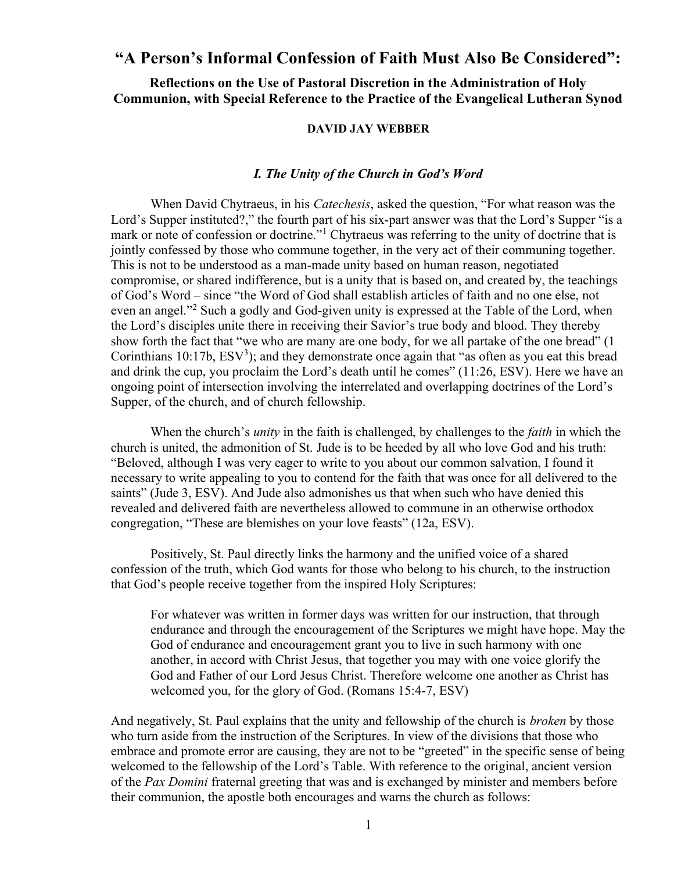# "A Person's Informal Confession of Faith Must Also Be Considered":

Reflections on the Use of Pastoral Discretion in the Administration of Holy Communion, with Special Reference to the Practice of the Evangelical Lutheran Synod

#### DAVID JAY WEBBER

# I. The Unity of the Church in God's Word

When David Chytraeus, in his *Catechesis*, asked the question, "For what reason was the Lord's Supper instituted?," the fourth part of his six-part answer was that the Lord's Supper "is a mark or note of confession or doctrine."<sup>1</sup> Chytraeus was referring to the unity of doctrine that is jointly confessed by those who commune together, in the very act of their communing together. This is not to be understood as a man-made unity based on human reason, negotiated compromise, or shared indifference, but is a unity that is based on, and created by, the teachings of God's Word – since "the Word of God shall establish articles of faith and no one else, not even an angel."<sup>2</sup> Such a godly and God-given unity is expressed at the Table of the Lord, when the Lord's disciples unite there in receiving their Savior's true body and blood. They thereby show forth the fact that "we who are many are one body, for we all partake of the one bread" (1 Corinthians  $10:17b$ ,  $ESV<sup>3</sup>$ ); and they demonstrate once again that "as often as you eat this bread and drink the cup, you proclaim the Lord's death until he comes" (11:26, ESV). Here we have an ongoing point of intersection involving the interrelated and overlapping doctrines of the Lord's Supper, of the church, and of church fellowship.

When the church's *unity* in the faith is challenged, by challenges to the *faith* in which the church is united, the admonition of St. Jude is to be heeded by all who love God and his truth: "Beloved, although I was very eager to write to you about our common salvation, I found it necessary to write appealing to you to contend for the faith that was once for all delivered to the saints" (Jude 3, ESV). And Jude also admonishes us that when such who have denied this revealed and delivered faith are nevertheless allowed to commune in an otherwise orthodox congregation, "These are blemishes on your love feasts" (12a, ESV).

Positively, St. Paul directly links the harmony and the unified voice of a shared confession of the truth, which God wants for those who belong to his church, to the instruction that God's people receive together from the inspired Holy Scriptures:

For whatever was written in former days was written for our instruction, that through endurance and through the encouragement of the Scriptures we might have hope. May the God of endurance and encouragement grant you to live in such harmony with one another, in accord with Christ Jesus, that together you may with one voice glorify the God and Father of our Lord Jesus Christ. Therefore welcome one another as Christ has welcomed you, for the glory of God. (Romans 15:4-7, ESV)

And negatively, St. Paul explains that the unity and fellowship of the church is broken by those who turn aside from the instruction of the Scriptures. In view of the divisions that those who embrace and promote error are causing, they are not to be "greeted" in the specific sense of being welcomed to the fellowship of the Lord's Table. With reference to the original, ancient version of the Pax Domini fraternal greeting that was and is exchanged by minister and members before their communion, the apostle both encourages and warns the church as follows: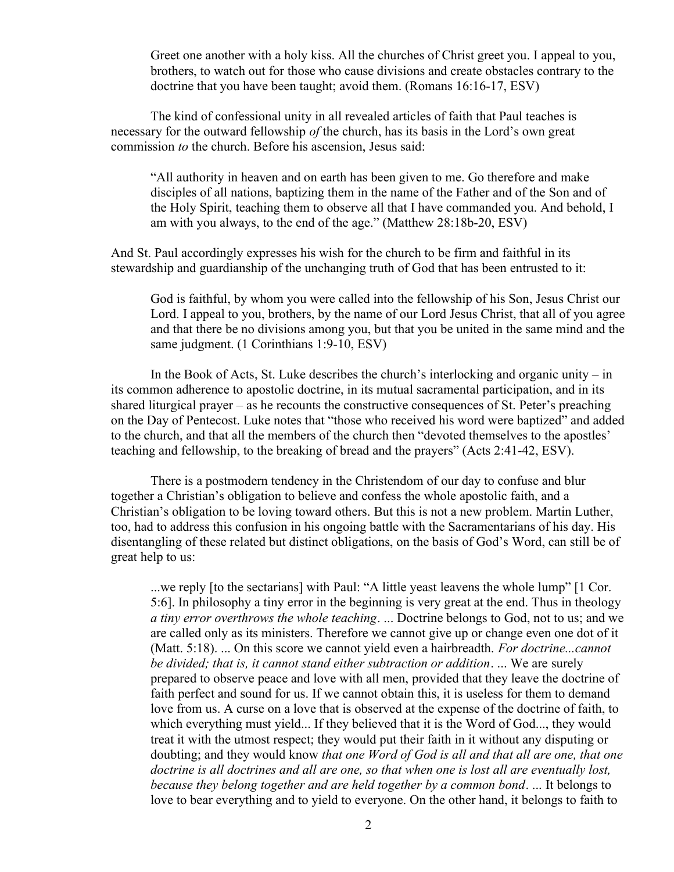Greet one another with a holy kiss. All the churches of Christ greet you. I appeal to you, brothers, to watch out for those who cause divisions and create obstacles contrary to the doctrine that you have been taught; avoid them. (Romans 16:16-17, ESV)

 The kind of confessional unity in all revealed articles of faith that Paul teaches is necessary for the outward fellowship of the church, has its basis in the Lord's own great commission to the church. Before his ascension, Jesus said:

"All authority in heaven and on earth has been given to me. Go therefore and make disciples of all nations, baptizing them in the name of the Father and of the Son and of the Holy Spirit, teaching them to observe all that I have commanded you. And behold, I am with you always, to the end of the age." (Matthew 28:18b-20, ESV)

And St. Paul accordingly expresses his wish for the church to be firm and faithful in its stewardship and guardianship of the unchanging truth of God that has been entrusted to it:

God is faithful, by whom you were called into the fellowship of his Son, Jesus Christ our Lord. I appeal to you, brothers, by the name of our Lord Jesus Christ, that all of you agree and that there be no divisions among you, but that you be united in the same mind and the same judgment. (1 Corinthians 1:9-10, ESV)

In the Book of Acts, St. Luke describes the church's interlocking and organic unity – in its common adherence to apostolic doctrine, in its mutual sacramental participation, and in its shared liturgical prayer – as he recounts the constructive consequences of St. Peter's preaching on the Day of Pentecost. Luke notes that "those who received his word were baptized" and added to the church, and that all the members of the church then "devoted themselves to the apostles' teaching and fellowship, to the breaking of bread and the prayers" (Acts 2:41-42, ESV).

There is a postmodern tendency in the Christendom of our day to confuse and blur together a Christian's obligation to believe and confess the whole apostolic faith, and a Christian's obligation to be loving toward others. But this is not a new problem. Martin Luther, too, had to address this confusion in his ongoing battle with the Sacramentarians of his day. His disentangling of these related but distinct obligations, on the basis of God's Word, can still be of great help to us:

...we reply [to the sectarians] with Paul: "A little yeast leavens the whole lump" [1 Cor. 5:6]. In philosophy a tiny error in the beginning is very great at the end. Thus in theology a tiny error overthrows the whole teaching. ... Doctrine belongs to God, not to us; and we are called only as its ministers. Therefore we cannot give up or change even one dot of it (Matt. 5:18). ... On this score we cannot yield even a hairbreadth. For doctrine...cannot be divided; that is, it cannot stand either subtraction or addition. ... We are surely prepared to observe peace and love with all men, provided that they leave the doctrine of faith perfect and sound for us. If we cannot obtain this, it is useless for them to demand love from us. A curse on a love that is observed at the expense of the doctrine of faith, to which everything must yield... If they believed that it is the Word of God..., they would treat it with the utmost respect; they would put their faith in it without any disputing or doubting; and they would know that one Word of God is all and that all are one, that one doctrine is all doctrines and all are one, so that when one is lost all are eventually lost, because they belong together and are held together by a common bond. ... It belongs to love to bear everything and to yield to everyone. On the other hand, it belongs to faith to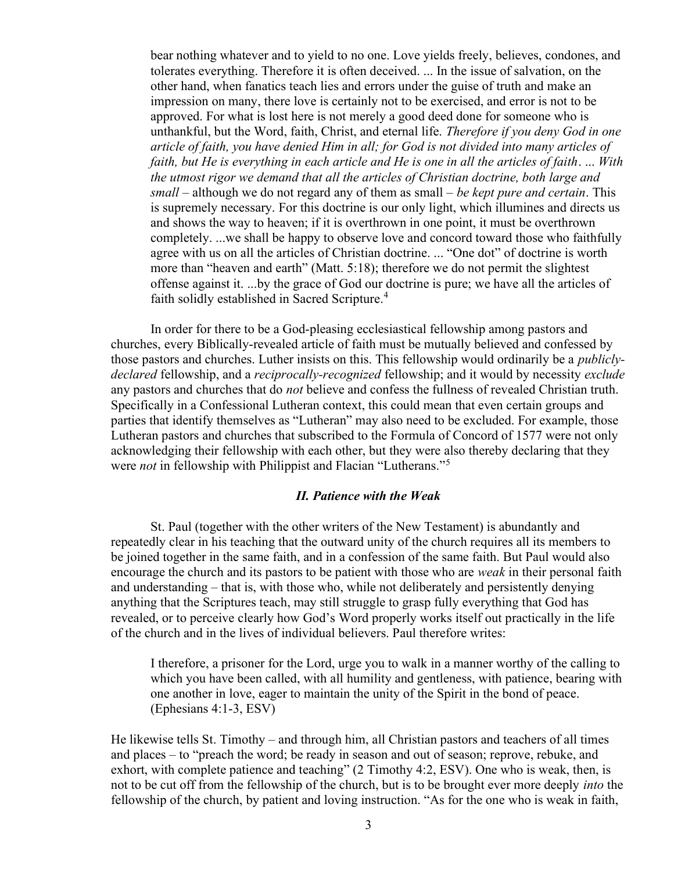bear nothing whatever and to yield to no one. Love yields freely, believes, condones, and tolerates everything. Therefore it is often deceived. ... In the issue of salvation, on the other hand, when fanatics teach lies and errors under the guise of truth and make an impression on many, there love is certainly not to be exercised, and error is not to be approved. For what is lost here is not merely a good deed done for someone who is unthankful, but the Word, faith, Christ, and eternal life. Therefore if you deny God in one article of faith, you have denied Him in all; for God is not divided into many articles of faith, but He is everything in each article and He is one in all the articles of faith. ... With the utmost rigor we demand that all the articles of Christian doctrine, both large and small – although we do not regard any of them as small – be kept pure and certain. This is supremely necessary. For this doctrine is our only light, which illumines and directs us and shows the way to heaven; if it is overthrown in one point, it must be overthrown completely. ...we shall be happy to observe love and concord toward those who faithfully agree with us on all the articles of Christian doctrine. ... "One dot" of doctrine is worth more than "heaven and earth" (Matt. 5:18); therefore we do not permit the slightest offense against it. ...by the grace of God our doctrine is pure; we have all the articles of faith solidly established in Sacred Scripture.<sup>4</sup>

In order for there to be a God-pleasing ecclesiastical fellowship among pastors and churches, every Biblically-revealed article of faith must be mutually believed and confessed by those pastors and churches. Luther insists on this. This fellowship would ordinarily be a publiclydeclared fellowship, and a *reciprocally-recognized* fellowship; and it would by necessity *exclude* any pastors and churches that do not believe and confess the fullness of revealed Christian truth. Specifically in a Confessional Lutheran context, this could mean that even certain groups and parties that identify themselves as "Lutheran" may also need to be excluded. For example, those Lutheran pastors and churches that subscribed to the Formula of Concord of 1577 were not only acknowledging their fellowship with each other, but they were also thereby declaring that they were *not* in fellowship with Philippist and Flacian "Lutherans."<sup>5</sup>

# II. Patience with the Weak

St. Paul (together with the other writers of the New Testament) is abundantly and repeatedly clear in his teaching that the outward unity of the church requires all its members to be joined together in the same faith, and in a confession of the same faith. But Paul would also encourage the church and its pastors to be patient with those who are weak in their personal faith and understanding – that is, with those who, while not deliberately and persistently denying anything that the Scriptures teach, may still struggle to grasp fully everything that God has revealed, or to perceive clearly how God's Word properly works itself out practically in the life of the church and in the lives of individual believers. Paul therefore writes:

I therefore, a prisoner for the Lord, urge you to walk in a manner worthy of the calling to which you have been called, with all humility and gentleness, with patience, bearing with one another in love, eager to maintain the unity of the Spirit in the bond of peace. (Ephesians 4:1-3, ESV)

He likewise tells St. Timothy – and through him, all Christian pastors and teachers of all times and places – to "preach the word; be ready in season and out of season; reprove, rebuke, and exhort, with complete patience and teaching" (2 Timothy 4:2, ESV). One who is weak, then, is not to be cut off from the fellowship of the church, but is to be brought ever more deeply into the fellowship of the church, by patient and loving instruction. "As for the one who is weak in faith,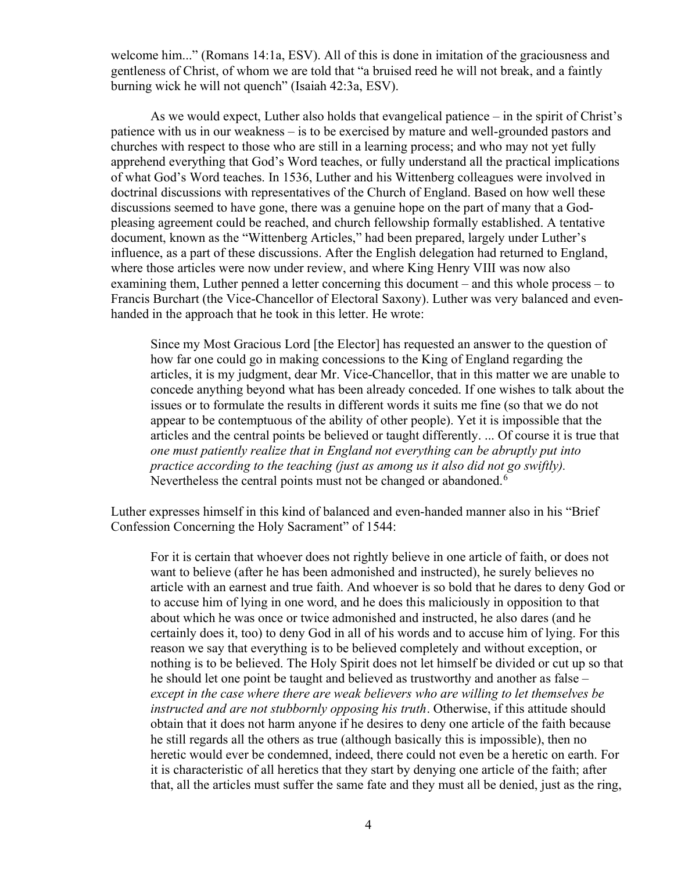welcome him..." (Romans 14:1a, ESV). All of this is done in imitation of the graciousness and gentleness of Christ, of whom we are told that "a bruised reed he will not break, and a faintly burning wick he will not quench" (Isaiah 42:3a, ESV).

As we would expect, Luther also holds that evangelical patience – in the spirit of Christ's patience with us in our weakness – is to be exercised by mature and well-grounded pastors and churches with respect to those who are still in a learning process; and who may not yet fully apprehend everything that God's Word teaches, or fully understand all the practical implications of what God's Word teaches. In 1536, Luther and his Wittenberg colleagues were involved in doctrinal discussions with representatives of the Church of England. Based on how well these discussions seemed to have gone, there was a genuine hope on the part of many that a Godpleasing agreement could be reached, and church fellowship formally established. A tentative document, known as the "Wittenberg Articles," had been prepared, largely under Luther's influence, as a part of these discussions. After the English delegation had returned to England, where those articles were now under review, and where King Henry VIII was now also examining them, Luther penned a letter concerning this document – and this whole process – to Francis Burchart (the Vice-Chancellor of Electoral Saxony). Luther was very balanced and evenhanded in the approach that he took in this letter. He wrote:

Since my Most Gracious Lord [the Elector] has requested an answer to the question of how far one could go in making concessions to the King of England regarding the articles, it is my judgment, dear Mr. Vice-Chancellor, that in this matter we are unable to concede anything beyond what has been already conceded. If one wishes to talk about the issues or to formulate the results in different words it suits me fine (so that we do not appear to be contemptuous of the ability of other people). Yet it is impossible that the articles and the central points be believed or taught differently. ... Of course it is true that one must patiently realize that in England not everything can be abruptly put into practice according to the teaching (just as among us it also did not go swiftly). Nevertheless the central points must not be changed or abandoned.<sup>6</sup>

Luther expresses himself in this kind of balanced and even-handed manner also in his "Brief Confession Concerning the Holy Sacrament" of 1544:

For it is certain that whoever does not rightly believe in one article of faith, or does not want to believe (after he has been admonished and instructed), he surely believes no article with an earnest and true faith. And whoever is so bold that he dares to deny God or to accuse him of lying in one word, and he does this maliciously in opposition to that about which he was once or twice admonished and instructed, he also dares (and he certainly does it, too) to deny God in all of his words and to accuse him of lying. For this reason we say that everything is to be believed completely and without exception, or nothing is to be believed. The Holy Spirit does not let himself be divided or cut up so that he should let one point be taught and believed as trustworthy and another as false – except in the case where there are weak believers who are willing to let themselves be instructed and are not stubbornly opposing his truth. Otherwise, if this attitude should obtain that it does not harm anyone if he desires to deny one article of the faith because he still regards all the others as true (although basically this is impossible), then no heretic would ever be condemned, indeed, there could not even be a heretic on earth. For it is characteristic of all heretics that they start by denying one article of the faith; after that, all the articles must suffer the same fate and they must all be denied, just as the ring,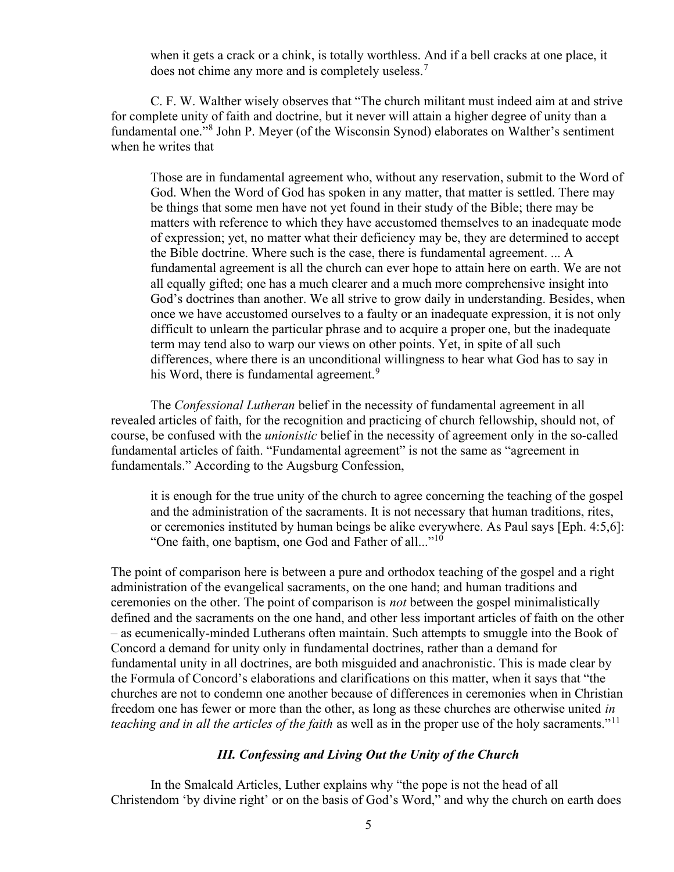when it gets a crack or a chink, is totally worthless. And if a bell cracks at one place, it does not chime any more and is completely useless.<sup>7</sup>

C. F. W. Walther wisely observes that "The church militant must indeed aim at and strive for complete unity of faith and doctrine, but it never will attain a higher degree of unity than a fundamental one."<sup>8</sup> John P. Meyer (of the Wisconsin Synod) elaborates on Walther's sentiment when he writes that

Those are in fundamental agreement who, without any reservation, submit to the Word of God. When the Word of God has spoken in any matter, that matter is settled. There may be things that some men have not yet found in their study of the Bible; there may be matters with reference to which they have accustomed themselves to an inadequate mode of expression; yet, no matter what their deficiency may be, they are determined to accept the Bible doctrine. Where such is the case, there is fundamental agreement. ... A fundamental agreement is all the church can ever hope to attain here on earth. We are not all equally gifted; one has a much clearer and a much more comprehensive insight into God's doctrines than another. We all strive to grow daily in understanding. Besides, when once we have accustomed ourselves to a faulty or an inadequate expression, it is not only difficult to unlearn the particular phrase and to acquire a proper one, but the inadequate term may tend also to warp our views on other points. Yet, in spite of all such differences, where there is an unconditional willingness to hear what God has to say in his Word, there is fundamental agreement.<sup>9</sup>

The Confessional Lutheran belief in the necessity of fundamental agreement in all revealed articles of faith, for the recognition and practicing of church fellowship, should not, of course, be confused with the unionistic belief in the necessity of agreement only in the so-called fundamental articles of faith. "Fundamental agreement" is not the same as "agreement in fundamentals." According to the Augsburg Confession,

it is enough for the true unity of the church to agree concerning the teaching of the gospel and the administration of the sacraments. It is not necessary that human traditions, rites, or ceremonies instituted by human beings be alike everywhere. As Paul says [Eph. 4:5,6]: "One faith, one baptism, one God and Father of all..."<sup>10</sup>

The point of comparison here is between a pure and orthodox teaching of the gospel and a right administration of the evangelical sacraments, on the one hand; and human traditions and ceremonies on the other. The point of comparison is not between the gospel minimalistically defined and the sacraments on the one hand, and other less important articles of faith on the other – as ecumenically-minded Lutherans often maintain. Such attempts to smuggle into the Book of Concord a demand for unity only in fundamental doctrines, rather than a demand for fundamental unity in all doctrines, are both misguided and anachronistic. This is made clear by the Formula of Concord's elaborations and clarifications on this matter, when it says that "the churches are not to condemn one another because of differences in ceremonies when in Christian freedom one has fewer or more than the other, as long as these churches are otherwise united in teaching and in all the articles of the faith as well as in the proper use of the holy sacraments."<sup>11</sup>

# III. Confessing and Living Out the Unity of the Church

In the Smalcald Articles, Luther explains why "the pope is not the head of all Christendom 'by divine right' or on the basis of God's Word," and why the church on earth does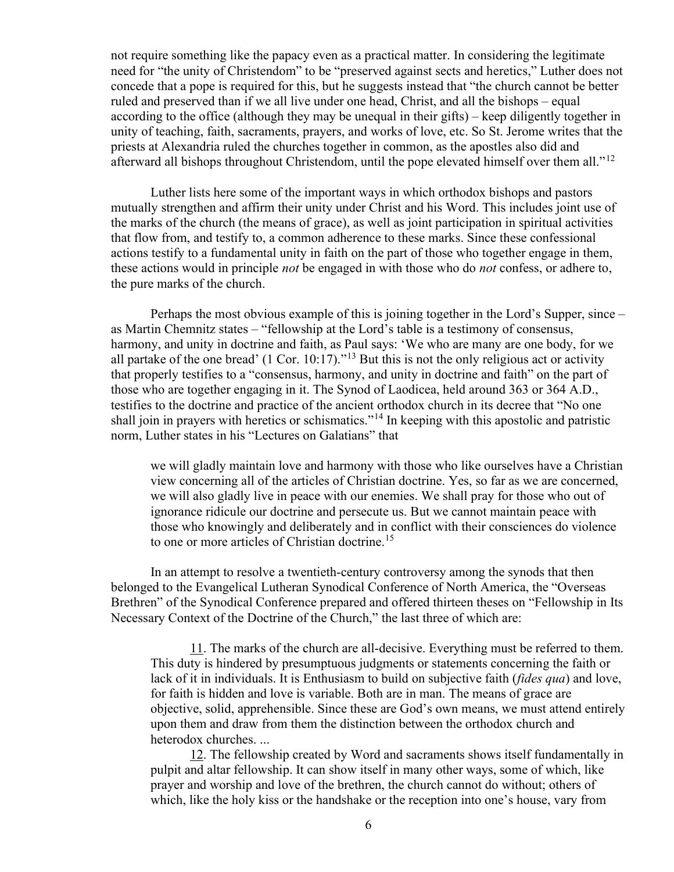not require something like the papacy even as a practical matter. In considering the legitimate need for "the unity of Christendom" to be "preserved against sects and heretics," Luther does not concede that a pope is required for this, but he suggests instead that "the church cannot be better ruled and preserved than if we all live under one head, Christ, and all the bishops – equal according to the office (although they may be unequal in their gifts) – keep diligently together in unity of teaching, faith, sacraments, prayers, and works of love, etc. So St. Jerome writes that the priests at Alexandria ruled the churches together in common, as the apostles also did and afterward all bishops throughout Christendom, until the pope elevated himself over them all."<sup>12</sup>

Luther lists here some of the important ways in which orthodox bishops and pastors mutually strengthen and affirm their unity under Christ and his Word. This includes joint use of the marks of the church (the means of grace), as well as joint participation in spiritual activities that flow from, and testify to, a common adherence to these marks. Since these confessional actions testify to a fundamental unity in faith on the part of those who together engage in them, these actions would in principle *not* be engaged in with those who do *not* confess, or adhere to, the pure marks of the church.

Perhaps the most obvious example of this is joining together in the Lord's Supper, since – as Martin Chemnitz states – "fellowship at the Lord's table is a testimony of consensus, harmony, and unity in doctrine and faith, as Paul says: 'We who are many are one body, for we all partake of the one bread' (1 Cor. 10:17)."<sup>13</sup> But this is not the only religious act or activity that properly testifies to a "consensus, harmony, and unity in doctrine and faith" on the part of those who are together engaging in it. The Synod of Laodicea, held around 363 or 364 A.D., testifies to the doctrine and practice of the ancient orthodox church in its decree that "No one shall join in prayers with heretics or schismatics."<sup>14</sup> In keeping with this apostolic and patristic norm, Luther states in his "Lectures on Galatians" that

we will gladly maintain love and harmony with those who like ourselves have a Christian view concerning all of the articles of Christian doctrine. Yes, so far as we are concerned, we will also gladly live in peace with our enemies. We shall pray for those who out of ignorance ridicule our doctrine and persecute us. But we cannot maintain peace with those who knowingly and deliberately and in conflict with their consciences do violence to one or more articles of Christian doctrine.<sup>15</sup>

In an attempt to resolve a twentieth-century controversy among the synods that then belonged to the Evangelical Lutheran Synodical Conference of North America, the "Overseas Brethren" of the Synodical Conference prepared and offered thirteen theses on "Fellowship in Its Necessary Context of the Doctrine of the Church," the last three of which are:

11. The marks of the church are all-decisive. Everything must be referred to them. This duty is hindered by presumptuous judgments or statements concerning the faith or lack of it in individuals. It is Enthusiasm to build on subjective faith (*fides qua*) and love, for faith is hidden and love is variable. Both are in man. The means of grace are objective, solid, apprehensible. Since these are God's own means, we must attend entirely upon them and draw from them the distinction between the orthodox church and heterodox churches. ...

12. The fellowship created by Word and sacraments shows itself fundamentally in pulpit and altar fellowship. It can show itself in many other ways, some of which, like prayer and worship and love of the brethren, the church cannot do without; others of which, like the holy kiss or the handshake or the reception into one's house, vary from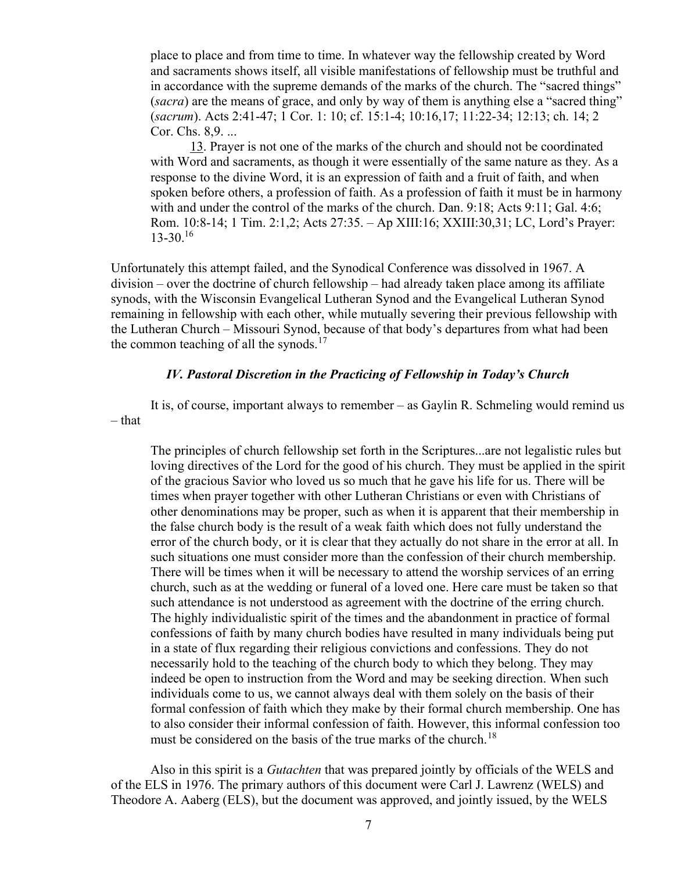place to place and from time to time. In whatever way the fellowship created by Word and sacraments shows itself, all visible manifestations of fellowship must be truthful and in accordance with the supreme demands of the marks of the church. The "sacred things" (sacra) are the means of grace, and only by way of them is anything else a "sacred thing" (sacrum). Acts 2:41-47; 1 Cor. 1: 10; cf. 15:1-4; 10:16,17; 11:22-34; 12:13; ch. 14; 2 Cor. Chs. 8,9. ...

13. Prayer is not one of the marks of the church and should not be coordinated with Word and sacraments, as though it were essentially of the same nature as they. As a response to the divine Word, it is an expression of faith and a fruit of faith, and when spoken before others, a profession of faith. As a profession of faith it must be in harmony with and under the control of the marks of the church. Dan. 9:18; Acts 9:11; Gal. 4:6; Rom. 10:8-14; 1 Tim. 2:1,2; Acts 27:35. – Ap XIII:16; XXIII:30,31; LC, Lord's Prayer:  $13-30.<sup>16</sup>$ 

Unfortunately this attempt failed, and the Synodical Conference was dissolved in 1967. A division – over the doctrine of church fellowship – had already taken place among its affiliate synods, with the Wisconsin Evangelical Lutheran Synod and the Evangelical Lutheran Synod remaining in fellowship with each other, while mutually severing their previous fellowship with the Lutheran Church – Missouri Synod, because of that body's departures from what had been the common teaching of all the synods. $17$ 

# IV. Pastoral Discretion in the Practicing of Fellowship in Today's Church

It is, of course, important always to remember – as Gaylin R. Schmeling would remind us – that

The principles of church fellowship set forth in the Scriptures...are not legalistic rules but loving directives of the Lord for the good of his church. They must be applied in the spirit of the gracious Savior who loved us so much that he gave his life for us. There will be times when prayer together with other Lutheran Christians or even with Christians of other denominations may be proper, such as when it is apparent that their membership in the false church body is the result of a weak faith which does not fully understand the error of the church body, or it is clear that they actually do not share in the error at all. In such situations one must consider more than the confession of their church membership. There will be times when it will be necessary to attend the worship services of an erring church, such as at the wedding or funeral of a loved one. Here care must be taken so that such attendance is not understood as agreement with the doctrine of the erring church. The highly individualistic spirit of the times and the abandonment in practice of formal confessions of faith by many church bodies have resulted in many individuals being put in a state of flux regarding their religious convictions and confessions. They do not necessarily hold to the teaching of the church body to which they belong. They may indeed be open to instruction from the Word and may be seeking direction. When such individuals come to us, we cannot always deal with them solely on the basis of their formal confession of faith which they make by their formal church membership. One has to also consider their informal confession of faith. However, this informal confession too must be considered on the basis of the true marks of the church.<sup>18</sup>

Also in this spirit is a *Gutachten* that was prepared jointly by officials of the WELS and of the ELS in 1976. The primary authors of this document were Carl J. Lawrenz (WELS) and Theodore A. Aaberg (ELS), but the document was approved, and jointly issued, by the WELS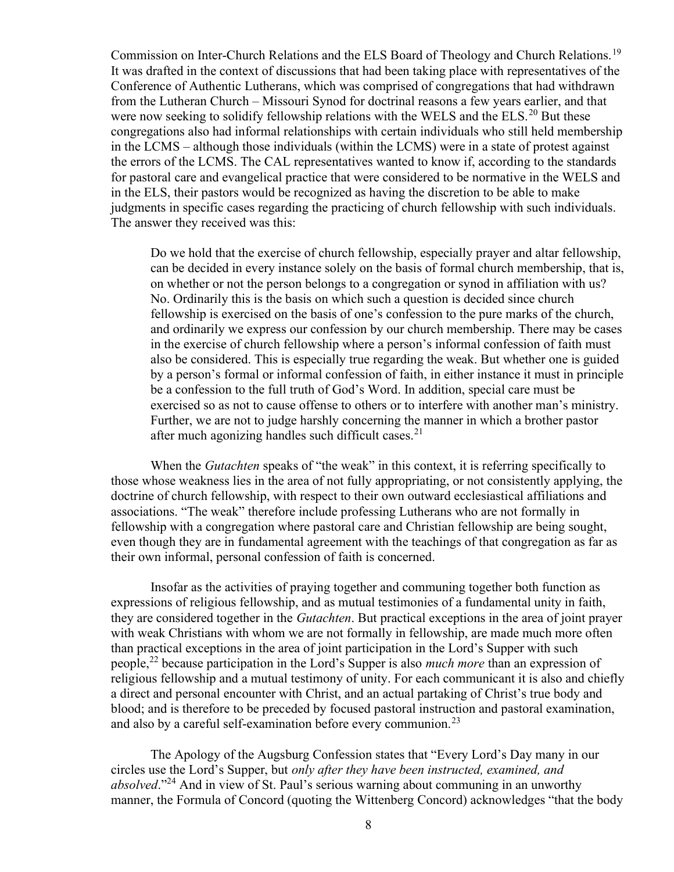Commission on Inter-Church Relations and the ELS Board of Theology and Church Relations.<sup>19</sup> It was drafted in the context of discussions that had been taking place with representatives of the Conference of Authentic Lutherans, which was comprised of congregations that had withdrawn from the Lutheran Church – Missouri Synod for doctrinal reasons a few years earlier, and that were now seeking to solidify fellowship relations with the WELS and the ELS.<sup>20</sup> But these congregations also had informal relationships with certain individuals who still held membership in the LCMS – although those individuals (within the LCMS) were in a state of protest against the errors of the LCMS. The CAL representatives wanted to know if, according to the standards for pastoral care and evangelical practice that were considered to be normative in the WELS and in the ELS, their pastors would be recognized as having the discretion to be able to make judgments in specific cases regarding the practicing of church fellowship with such individuals. The answer they received was this:

Do we hold that the exercise of church fellowship, especially prayer and altar fellowship, can be decided in every instance solely on the basis of formal church membership, that is, on whether or not the person belongs to a congregation or synod in affiliation with us? No. Ordinarily this is the basis on which such a question is decided since church fellowship is exercised on the basis of one's confession to the pure marks of the church, and ordinarily we express our confession by our church membership. There may be cases in the exercise of church fellowship where a person's informal confession of faith must also be considered. This is especially true regarding the weak. But whether one is guided by a person's formal or informal confession of faith, in either instance it must in principle be a confession to the full truth of God's Word. In addition, special care must be exercised so as not to cause offense to others or to interfere with another man's ministry. Further, we are not to judge harshly concerning the manner in which a brother pastor after much agonizing handles such difficult cases.<sup>21</sup>

When the *Gutachten* speaks of "the weak" in this context, it is referring specifically to those whose weakness lies in the area of not fully appropriating, or not consistently applying, the doctrine of church fellowship, with respect to their own outward ecclesiastical affiliations and associations. "The weak" therefore include professing Lutherans who are not formally in fellowship with a congregation where pastoral care and Christian fellowship are being sought, even though they are in fundamental agreement with the teachings of that congregation as far as their own informal, personal confession of faith is concerned.

Insofar as the activities of praying together and communing together both function as expressions of religious fellowship, and as mutual testimonies of a fundamental unity in faith, they are considered together in the Gutachten. But practical exceptions in the area of joint prayer with weak Christians with whom we are not formally in fellowship, are made much more often than practical exceptions in the area of joint participation in the Lord's Supper with such people,<sup>22</sup> because participation in the Lord's Supper is also *much more* than an expression of religious fellowship and a mutual testimony of unity. For each communicant it is also and chiefly a direct and personal encounter with Christ, and an actual partaking of Christ's true body and blood; and is therefore to be preceded by focused pastoral instruction and pastoral examination, and also by a careful self-examination before every communion.<sup>23</sup>

The Apology of the Augsburg Confession states that "Every Lord's Day many in our circles use the Lord's Supper, but only after they have been instructed, examined, and absolved."<sup>24</sup> And in view of St. Paul's serious warning about communing in an unworthy manner, the Formula of Concord (quoting the Wittenberg Concord) acknowledges "that the body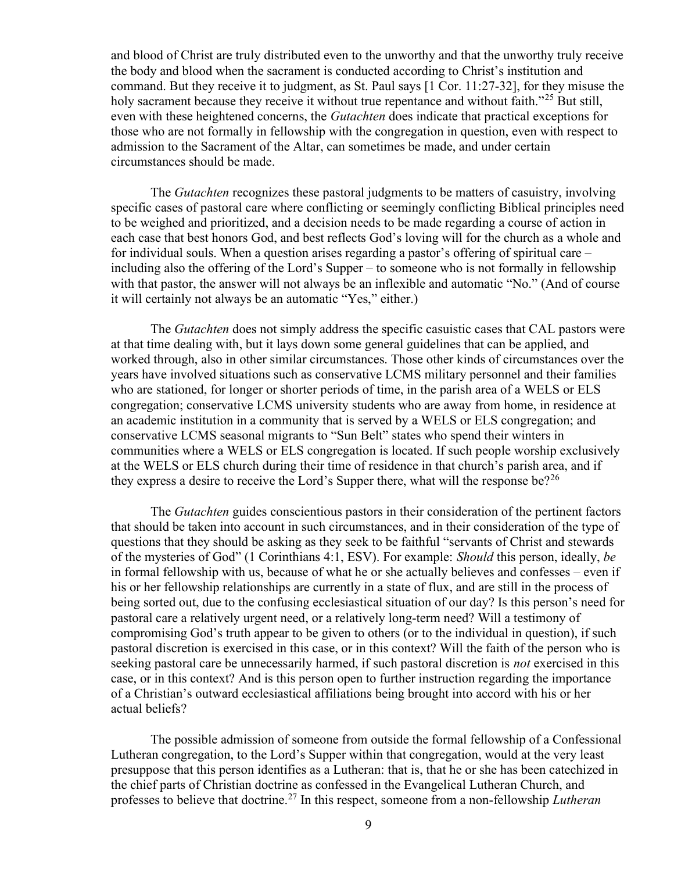and blood of Christ are truly distributed even to the unworthy and that the unworthy truly receive the body and blood when the sacrament is conducted according to Christ's institution and command. But they receive it to judgment, as St. Paul says [1 Cor. 11:27-32], for they misuse the holy sacrament because they receive it without true repentance and without faith."<sup>25</sup> But still, even with these heightened concerns, the Gutachten does indicate that practical exceptions for those who are not formally in fellowship with the congregation in question, even with respect to admission to the Sacrament of the Altar, can sometimes be made, and under certain circumstances should be made.

The *Gutachten* recognizes these pastoral judgments to be matters of casuistry, involving specific cases of pastoral care where conflicting or seemingly conflicting Biblical principles need to be weighed and prioritized, and a decision needs to be made regarding a course of action in each case that best honors God, and best reflects God's loving will for the church as a whole and for individual souls. When a question arises regarding a pastor's offering of spiritual care – including also the offering of the Lord's Supper – to someone who is not formally in fellowship with that pastor, the answer will not always be an inflexible and automatic "No." (And of course it will certainly not always be an automatic "Yes," either.)

The *Gutachten* does not simply address the specific casuistic cases that CAL pastors were at that time dealing with, but it lays down some general guidelines that can be applied, and worked through, also in other similar circumstances. Those other kinds of circumstances over the years have involved situations such as conservative LCMS military personnel and their families who are stationed, for longer or shorter periods of time, in the parish area of a WELS or ELS congregation; conservative LCMS university students who are away from home, in residence at an academic institution in a community that is served by a WELS or ELS congregation; and conservative LCMS seasonal migrants to "Sun Belt" states who spend their winters in communities where a WELS or ELS congregation is located. If such people worship exclusively at the WELS or ELS church during their time of residence in that church's parish area, and if they express a desire to receive the Lord's Supper there, what will the response be?<sup>26</sup>

The *Gutachten* guides conscientious pastors in their consideration of the pertinent factors that should be taken into account in such circumstances, and in their consideration of the type of questions that they should be asking as they seek to be faithful "servants of Christ and stewards of the mysteries of God" (1 Corinthians 4:1, ESV). For example: Should this person, ideally, be in formal fellowship with us, because of what he or she actually believes and confesses – even if his or her fellowship relationships are currently in a state of flux, and are still in the process of being sorted out, due to the confusing ecclesiastical situation of our day? Is this person's need for pastoral care a relatively urgent need, or a relatively long-term need? Will a testimony of compromising God's truth appear to be given to others (or to the individual in question), if such pastoral discretion is exercised in this case, or in this context? Will the faith of the person who is seeking pastoral care be unnecessarily harmed, if such pastoral discretion is *not* exercised in this case, or in this context? And is this person open to further instruction regarding the importance of a Christian's outward ecclesiastical affiliations being brought into accord with his or her actual beliefs?

The possible admission of someone from outside the formal fellowship of a Confessional Lutheran congregation, to the Lord's Supper within that congregation, would at the very least presuppose that this person identifies as a Lutheran: that is, that he or she has been catechized in the chief parts of Christian doctrine as confessed in the Evangelical Lutheran Church, and professes to believe that doctrine.<sup>27</sup> In this respect, someone from a non-fellowship *Lutheran*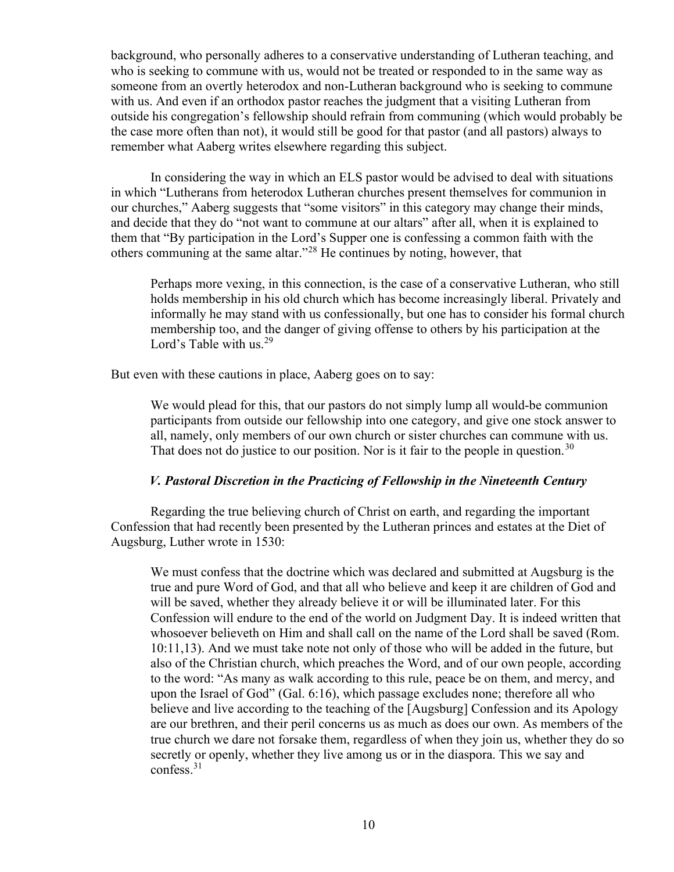background, who personally adheres to a conservative understanding of Lutheran teaching, and who is seeking to commune with us, would not be treated or responded to in the same way as someone from an overtly heterodox and non-Lutheran background who is seeking to commune with us. And even if an orthodox pastor reaches the judgment that a visiting Lutheran from outside his congregation's fellowship should refrain from communing (which would probably be the case more often than not), it would still be good for that pastor (and all pastors) always to remember what Aaberg writes elsewhere regarding this subject.

In considering the way in which an ELS pastor would be advised to deal with situations in which "Lutherans from heterodox Lutheran churches present themselves for communion in our churches," Aaberg suggests that "some visitors" in this category may change their minds, and decide that they do "not want to commune at our altars" after all, when it is explained to them that "By participation in the Lord's Supper one is confessing a common faith with the others communing at the same altar."<sup>28</sup> He continues by noting, however, that

Perhaps more vexing, in this connection, is the case of a conservative Lutheran, who still holds membership in his old church which has become increasingly liberal. Privately and informally he may stand with us confessionally, but one has to consider his formal church membership too, and the danger of giving offense to others by his participation at the Lord's Table with us. $^{29}$ 

But even with these cautions in place, Aaberg goes on to say:

We would plead for this, that our pastors do not simply lump all would-be communion participants from outside our fellowship into one category, and give one stock answer to all, namely, only members of our own church or sister churches can commune with us. That does not do justice to our position. Nor is it fair to the people in question.<sup>30</sup>

# V. Pastoral Discretion in the Practicing of Fellowship in the Nineteenth Century

Regarding the true believing church of Christ on earth, and regarding the important Confession that had recently been presented by the Lutheran princes and estates at the Diet of Augsburg, Luther wrote in 1530:

We must confess that the doctrine which was declared and submitted at Augsburg is the true and pure Word of God, and that all who believe and keep it are children of God and will be saved, whether they already believe it or will be illuminated later. For this Confession will endure to the end of the world on Judgment Day. It is indeed written that whosoever believeth on Him and shall call on the name of the Lord shall be saved (Rom. 10:11,13). And we must take note not only of those who will be added in the future, but also of the Christian church, which preaches the Word, and of our own people, according to the word: "As many as walk according to this rule, peace be on them, and mercy, and upon the Israel of God" (Gal. 6:16), which passage excludes none; therefore all who believe and live according to the teaching of the [Augsburg] Confession and its Apology are our brethren, and their peril concerns us as much as does our own. As members of the true church we dare not forsake them, regardless of when they join us, whether they do so secretly or openly, whether they live among us or in the diaspora. This we say and confess. $31$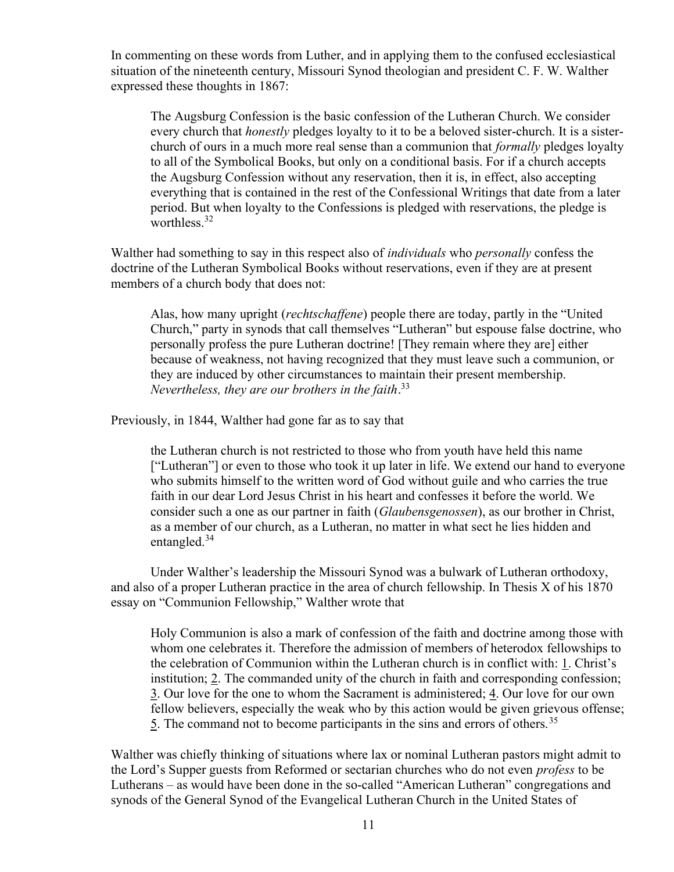In commenting on these words from Luther, and in applying them to the confused ecclesiastical situation of the nineteenth century, Missouri Synod theologian and president C. F. W. Walther expressed these thoughts in 1867:

The Augsburg Confession is the basic confession of the Lutheran Church. We consider every church that *honestly* pledges loyalty to it to be a beloved sister-church. It is a sisterchurch of ours in a much more real sense than a communion that *formally* pledges loyalty to all of the Symbolical Books, but only on a conditional basis. For if a church accepts the Augsburg Confession without any reservation, then it is, in effect, also accepting everything that is contained in the rest of the Confessional Writings that date from a later period. But when loyalty to the Confessions is pledged with reservations, the pledge is worthless.<sup>32</sup>

Walther had something to say in this respect also of *individuals* who *personally* confess the doctrine of the Lutheran Symbolical Books without reservations, even if they are at present members of a church body that does not:

Alas, how many upright (rechtschaffene) people there are today, partly in the "United Church," party in synods that call themselves "Lutheran" but espouse false doctrine, who personally profess the pure Lutheran doctrine! [They remain where they are] either because of weakness, not having recognized that they must leave such a communion, or they are induced by other circumstances to maintain their present membership. Nevertheless, they are our brothers in the faith. $33$ 

Previously, in 1844, Walther had gone far as to say that

the Lutheran church is not restricted to those who from youth have held this name ["Lutheran"] or even to those who took it up later in life. We extend our hand to everyone who submits himself to the written word of God without guile and who carries the true faith in our dear Lord Jesus Christ in his heart and confesses it before the world. We consider such a one as our partner in faith (Glaubensgenossen), as our brother in Christ, as a member of our church, as a Lutheran, no matter in what sect he lies hidden and entangled.<sup>34</sup>

Under Walther's leadership the Missouri Synod was a bulwark of Lutheran orthodoxy, and also of a proper Lutheran practice in the area of church fellowship. In Thesis X of his 1870 essay on "Communion Fellowship," Walther wrote that

Holy Communion is also a mark of confession of the faith and doctrine among those with whom one celebrates it. Therefore the admission of members of heterodox fellowships to the celebration of Communion within the Lutheran church is in conflict with: 1. Christ's institution; 2. The commanded unity of the church in faith and corresponding confession; 3. Our love for the one to whom the Sacrament is administered; 4. Our love for our own fellow believers, especially the weak who by this action would be given grievous offense; 5. The command not to become participants in the sins and errors of others.<sup>35</sup>

Walther was chiefly thinking of situations where lax or nominal Lutheran pastors might admit to the Lord's Supper guests from Reformed or sectarian churches who do not even *profess* to be Lutherans – as would have been done in the so-called "American Lutheran" congregations and synods of the General Synod of the Evangelical Lutheran Church in the United States of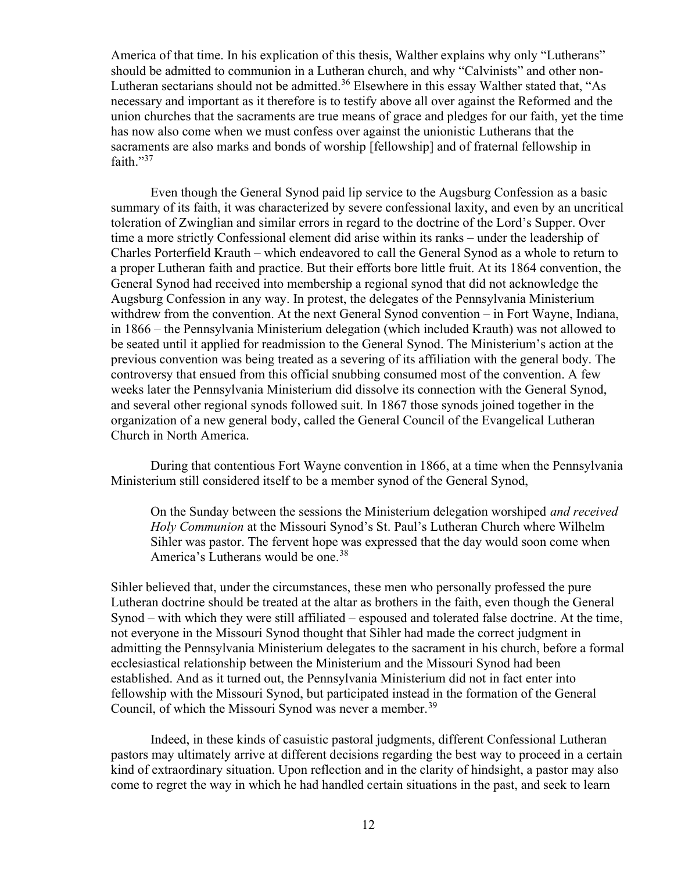America of that time. In his explication of this thesis, Walther explains why only "Lutherans" should be admitted to communion in a Lutheran church, and why "Calvinists" and other non-Lutheran sectarians should not be admitted.<sup>36</sup> Elsewhere in this essay Walther stated that, "As necessary and important as it therefore is to testify above all over against the Reformed and the union churches that the sacraments are true means of grace and pledges for our faith, yet the time has now also come when we must confess over against the unionistic Lutherans that the sacraments are also marks and bonds of worship [fellowship] and of fraternal fellowship in faith. $^{37}$ 

Even though the General Synod paid lip service to the Augsburg Confession as a basic summary of its faith, it was characterized by severe confessional laxity, and even by an uncritical toleration of Zwinglian and similar errors in regard to the doctrine of the Lord's Supper. Over time a more strictly Confessional element did arise within its ranks – under the leadership of Charles Porterfield Krauth – which endeavored to call the General Synod as a whole to return to a proper Lutheran faith and practice. But their efforts bore little fruit. At its 1864 convention, the General Synod had received into membership a regional synod that did not acknowledge the Augsburg Confession in any way. In protest, the delegates of the Pennsylvania Ministerium withdrew from the convention. At the next General Synod convention – in Fort Wayne, Indiana, in 1866 – the Pennsylvania Ministerium delegation (which included Krauth) was not allowed to be seated until it applied for readmission to the General Synod. The Ministerium's action at the previous convention was being treated as a severing of its affiliation with the general body. The controversy that ensued from this official snubbing consumed most of the convention. A few weeks later the Pennsylvania Ministerium did dissolve its connection with the General Synod, and several other regional synods followed suit. In 1867 those synods joined together in the organization of a new general body, called the General Council of the Evangelical Lutheran Church in North America.

During that contentious Fort Wayne convention in 1866, at a time when the Pennsylvania Ministerium still considered itself to be a member synod of the General Synod,

On the Sunday between the sessions the Ministerium delegation worshiped and received Holy Communion at the Missouri Synod's St. Paul's Lutheran Church where Wilhelm Sihler was pastor. The fervent hope was expressed that the day would soon come when America's Lutherans would be one.<sup>38</sup>

Sihler believed that, under the circumstances, these men who personally professed the pure Lutheran doctrine should be treated at the altar as brothers in the faith, even though the General Synod – with which they were still affiliated – espoused and tolerated false doctrine. At the time, not everyone in the Missouri Synod thought that Sihler had made the correct judgment in admitting the Pennsylvania Ministerium delegates to the sacrament in his church, before a formal ecclesiastical relationship between the Ministerium and the Missouri Synod had been established. And as it turned out, the Pennsylvania Ministerium did not in fact enter into fellowship with the Missouri Synod, but participated instead in the formation of the General Council, of which the Missouri Synod was never a member.<sup>39</sup>

Indeed, in these kinds of casuistic pastoral judgments, different Confessional Lutheran pastors may ultimately arrive at different decisions regarding the best way to proceed in a certain kind of extraordinary situation. Upon reflection and in the clarity of hindsight, a pastor may also come to regret the way in which he had handled certain situations in the past, and seek to learn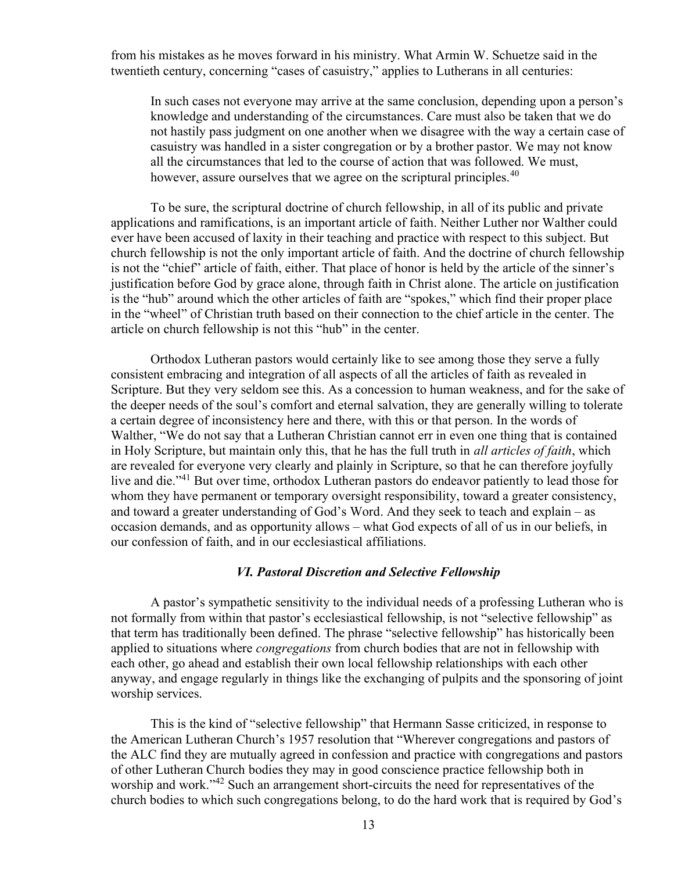from his mistakes as he moves forward in his ministry. What Armin W. Schuetze said in the twentieth century, concerning "cases of casuistry," applies to Lutherans in all centuries:

In such cases not everyone may arrive at the same conclusion, depending upon a person's knowledge and understanding of the circumstances. Care must also be taken that we do not hastily pass judgment on one another when we disagree with the way a certain case of casuistry was handled in a sister congregation or by a brother pastor. We may not know all the circumstances that led to the course of action that was followed. We must, however, assure ourselves that we agree on the scriptural principles.<sup>40</sup>

To be sure, the scriptural doctrine of church fellowship, in all of its public and private applications and ramifications, is an important article of faith. Neither Luther nor Walther could ever have been accused of laxity in their teaching and practice with respect to this subject. But church fellowship is not the only important article of faith. And the doctrine of church fellowship is not the "chief" article of faith, either. That place of honor is held by the article of the sinner's justification before God by grace alone, through faith in Christ alone. The article on justification is the "hub" around which the other articles of faith are "spokes," which find their proper place in the "wheel" of Christian truth based on their connection to the chief article in the center. The article on church fellowship is not this "hub" in the center.

Orthodox Lutheran pastors would certainly like to see among those they serve a fully consistent embracing and integration of all aspects of all the articles of faith as revealed in Scripture. But they very seldom see this. As a concession to human weakness, and for the sake of the deeper needs of the soul's comfort and eternal salvation, they are generally willing to tolerate a certain degree of inconsistency here and there, with this or that person. In the words of Walther, "We do not say that a Lutheran Christian cannot err in even one thing that is contained in Holy Scripture, but maintain only this, that he has the full truth in *all articles of faith*, which are revealed for everyone very clearly and plainly in Scripture, so that he can therefore joyfully live and die."<sup>41</sup> But over time, orthodox Lutheran pastors do endeavor patiently to lead those for whom they have permanent or temporary oversight responsibility, toward a greater consistency, and toward a greater understanding of God's Word. And they seek to teach and explain – as occasion demands, and as opportunity allows – what God expects of all of us in our beliefs, in our confession of faith, and in our ecclesiastical affiliations.

#### VI. Pastoral Discretion and Selective Fellowship

 A pastor's sympathetic sensitivity to the individual needs of a professing Lutheran who is not formally from within that pastor's ecclesiastical fellowship, is not "selective fellowship" as that term has traditionally been defined. The phrase "selective fellowship" has historically been applied to situations where *congregations* from church bodies that are not in fellowship with each other, go ahead and establish their own local fellowship relationships with each other anyway, and engage regularly in things like the exchanging of pulpits and the sponsoring of joint worship services.

This is the kind of "selective fellowship" that Hermann Sasse criticized, in response to the American Lutheran Church's 1957 resolution that "Wherever congregations and pastors of the ALC find they are mutually agreed in confession and practice with congregations and pastors of other Lutheran Church bodies they may in good conscience practice fellowship both in worship and work."<sup>42</sup> Such an arrangement short-circuits the need for representatives of the church bodies to which such congregations belong, to do the hard work that is required by God's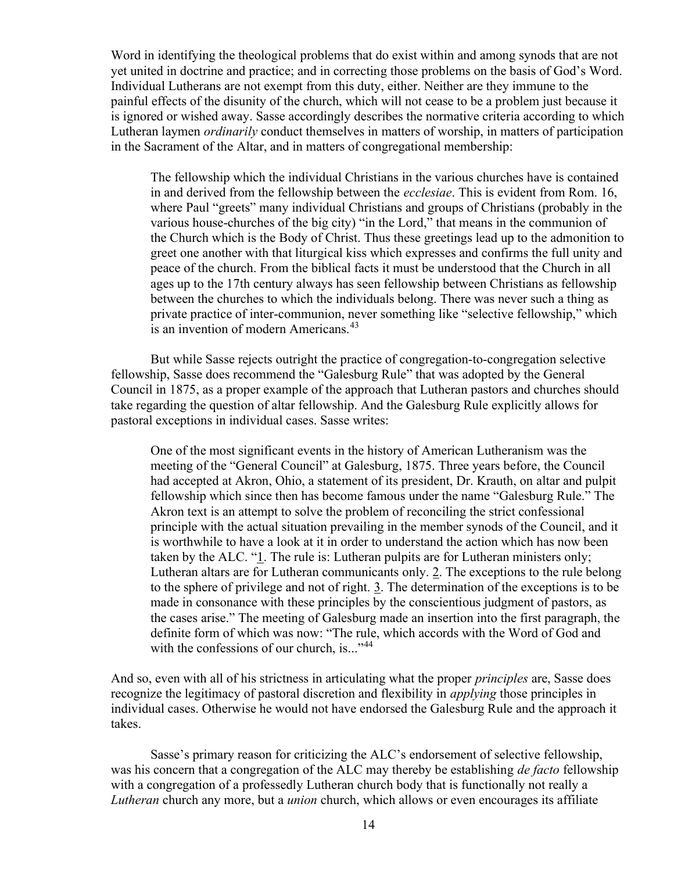Word in identifying the theological problems that do exist within and among synods that are not yet united in doctrine and practice; and in correcting those problems on the basis of God's Word. Individual Lutherans are not exempt from this duty, either. Neither are they immune to the painful effects of the disunity of the church, which will not cease to be a problem just because it is ignored or wished away. Sasse accordingly describes the normative criteria according to which Lutheran laymen ordinarily conduct themselves in matters of worship, in matters of participation in the Sacrament of the Altar, and in matters of congregational membership:

The fellowship which the individual Christians in the various churches have is contained in and derived from the fellowship between the *ecclesiae*. This is evident from Rom. 16, where Paul "greets" many individual Christians and groups of Christians (probably in the various house-churches of the big city) "in the Lord," that means in the communion of the Church which is the Body of Christ. Thus these greetings lead up to the admonition to greet one another with that liturgical kiss which expresses and confirms the full unity and peace of the church. From the biblical facts it must be understood that the Church in all ages up to the 17th century always has seen fellowship between Christians as fellowship between the churches to which the individuals belong. There was never such a thing as private practice of inter-communion, never something like "selective fellowship," which is an invention of modern Americans.<sup>43</sup>

But while Sasse rejects outright the practice of congregation-to-congregation selective fellowship, Sasse does recommend the "Galesburg Rule" that was adopted by the General Council in 1875, as a proper example of the approach that Lutheran pastors and churches should take regarding the question of altar fellowship. And the Galesburg Rule explicitly allows for pastoral exceptions in individual cases. Sasse writes:

One of the most significant events in the history of American Lutheranism was the meeting of the "General Council" at Galesburg, 1875. Three years before, the Council had accepted at Akron, Ohio, a statement of its president, Dr. Krauth, on altar and pulpit fellowship which since then has become famous under the name "Galesburg Rule." The Akron text is an attempt to solve the problem of reconciling the strict confessional principle with the actual situation prevailing in the member synods of the Council, and it is worthwhile to have a look at it in order to understand the action which has now been taken by the ALC. "1. The rule is: Lutheran pulpits are for Lutheran ministers only; Lutheran altars are for Lutheran communicants only. 2. The exceptions to the rule belong to the sphere of privilege and not of right. 3. The determination of the exceptions is to be made in consonance with these principles by the conscientious judgment of pastors, as the cases arise." The meeting of Galesburg made an insertion into the first paragraph, the definite form of which was now: "The rule, which accords with the Word of God and with the confessions of our church, is..."<sup>44</sup>

And so, even with all of his strictness in articulating what the proper principles are, Sasse does recognize the legitimacy of pastoral discretion and flexibility in *applying* those principles in individual cases. Otherwise he would not have endorsed the Galesburg Rule and the approach it takes.

Sasse's primary reason for criticizing the ALC's endorsement of selective fellowship, was his concern that a congregation of the ALC may thereby be establishing *de facto* fellowship with a congregation of a professedly Lutheran church body that is functionally not really a Lutheran church any more, but a *union* church, which allows or even encourages its affiliate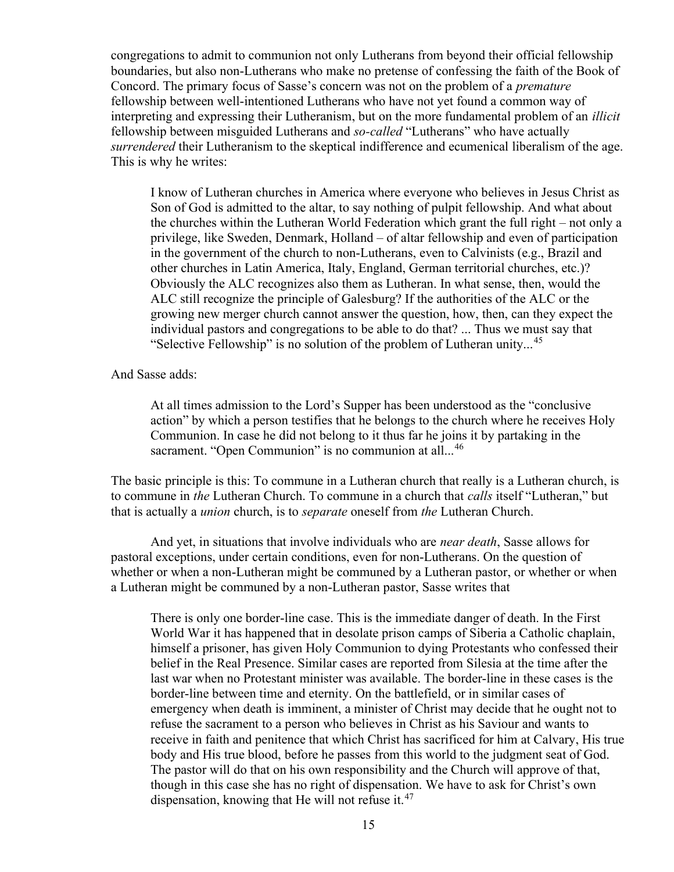congregations to admit to communion not only Lutherans from beyond their official fellowship boundaries, but also non-Lutherans who make no pretense of confessing the faith of the Book of Concord. The primary focus of Sasse's concern was not on the problem of a premature fellowship between well-intentioned Lutherans who have not yet found a common way of interpreting and expressing their Lutheranism, but on the more fundamental problem of an illicit fellowship between misguided Lutherans and so-called "Lutherans" who have actually surrendered their Lutheranism to the skeptical indifference and ecumenical liberalism of the age. This is why he writes:

I know of Lutheran churches in America where everyone who believes in Jesus Christ as Son of God is admitted to the altar, to say nothing of pulpit fellowship. And what about the churches within the Lutheran World Federation which grant the full right – not only a privilege, like Sweden, Denmark, Holland – of altar fellowship and even of participation in the government of the church to non-Lutherans, even to Calvinists (e.g., Brazil and other churches in Latin America, Italy, England, German territorial churches, etc.)? Obviously the ALC recognizes also them as Lutheran. In what sense, then, would the ALC still recognize the principle of Galesburg? If the authorities of the ALC or the growing new merger church cannot answer the question, how, then, can they expect the individual pastors and congregations to be able to do that? ... Thus we must say that "Selective Fellowship" is no solution of the problem of Lutheran unity...<sup>45</sup>

And Sasse adds:

At all times admission to the Lord's Supper has been understood as the "conclusive action" by which a person testifies that he belongs to the church where he receives Holy Communion. In case he did not belong to it thus far he joins it by partaking in the sacrament. "Open Communion" is no communion at all...<sup>46</sup>

The basic principle is this: To commune in a Lutheran church that really is a Lutheran church, is to commune in the Lutheran Church. To commune in a church that *calls* itself "Lutheran," but that is actually a union church, is to separate oneself from the Lutheran Church.

And yet, in situations that involve individuals who are near death, Sasse allows for pastoral exceptions, under certain conditions, even for non-Lutherans. On the question of whether or when a non-Lutheran might be communed by a Lutheran pastor, or whether or when a Lutheran might be communed by a non-Lutheran pastor, Sasse writes that

There is only one border-line case. This is the immediate danger of death. In the First World War it has happened that in desolate prison camps of Siberia a Catholic chaplain, himself a prisoner, has given Holy Communion to dying Protestants who confessed their belief in the Real Presence. Similar cases are reported from Silesia at the time after the last war when no Protestant minister was available. The border-line in these cases is the border-line between time and eternity. On the battlefield, or in similar cases of emergency when death is imminent, a minister of Christ may decide that he ought not to refuse the sacrament to a person who believes in Christ as his Saviour and wants to receive in faith and penitence that which Christ has sacrificed for him at Calvary, His true body and His true blood, before he passes from this world to the judgment seat of God. The pastor will do that on his own responsibility and the Church will approve of that, though in this case she has no right of dispensation. We have to ask for Christ's own dispensation, knowing that He will not refuse it. $47$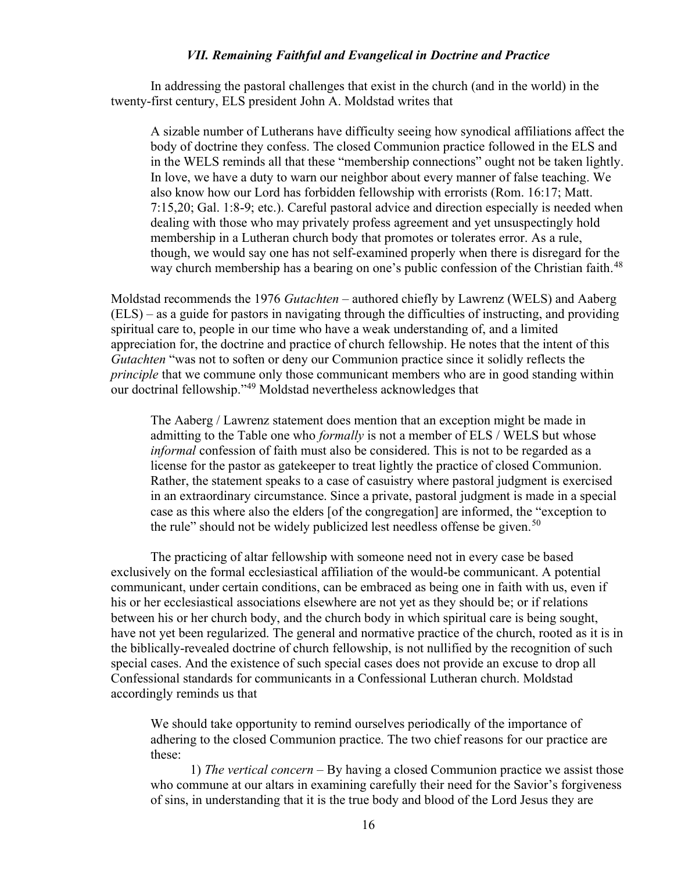#### VII. Remaining Faithful and Evangelical in Doctrine and Practice

 In addressing the pastoral challenges that exist in the church (and in the world) in the twenty-first century, ELS president John A. Moldstad writes that

A sizable number of Lutherans have difficulty seeing how synodical affiliations affect the body of doctrine they confess. The closed Communion practice followed in the ELS and in the WELS reminds all that these "membership connections" ought not be taken lightly. In love, we have a duty to warn our neighbor about every manner of false teaching. We also know how our Lord has forbidden fellowship with errorists (Rom. 16:17; Matt. 7:15,20; Gal. 1:8-9; etc.). Careful pastoral advice and direction especially is needed when dealing with those who may privately profess agreement and yet unsuspectingly hold membership in a Lutheran church body that promotes or tolerates error. As a rule, though, we would say one has not self-examined properly when there is disregard for the way church membership has a bearing on one's public confession of the Christian faith.<sup>48</sup>

Moldstad recommends the 1976 Gutachten – authored chiefly by Lawrenz (WELS) and Aaberg (ELS) – as a guide for pastors in navigating through the difficulties of instructing, and providing spiritual care to, people in our time who have a weak understanding of, and a limited appreciation for, the doctrine and practice of church fellowship. He notes that the intent of this Gutachten "was not to soften or deny our Communion practice since it solidly reflects the principle that we commune only those communicant members who are in good standing within our doctrinal fellowship."<sup>49</sup> Moldstad nevertheless acknowledges that

The Aaberg / Lawrenz statement does mention that an exception might be made in admitting to the Table one who *formally* is not a member of ELS / WELS but whose informal confession of faith must also be considered. This is not to be regarded as a license for the pastor as gatekeeper to treat lightly the practice of closed Communion. Rather, the statement speaks to a case of casuistry where pastoral judgment is exercised in an extraordinary circumstance. Since a private, pastoral judgment is made in a special case as this where also the elders [of the congregation] are informed, the "exception to the rule" should not be widely publicized lest needless offense be given.<sup>50</sup>

The practicing of altar fellowship with someone need not in every case be based exclusively on the formal ecclesiastical affiliation of the would-be communicant. A potential communicant, under certain conditions, can be embraced as being one in faith with us, even if his or her ecclesiastical associations elsewhere are not yet as they should be; or if relations between his or her church body, and the church body in which spiritual care is being sought, have not yet been regularized. The general and normative practice of the church, rooted as it is in the biblically-revealed doctrine of church fellowship, is not nullified by the recognition of such special cases. And the existence of such special cases does not provide an excuse to drop all Confessional standards for communicants in a Confessional Lutheran church. Moldstad accordingly reminds us that

We should take opportunity to remind ourselves periodically of the importance of adhering to the closed Communion practice. The two chief reasons for our practice are these:

1) The vertical concern – By having a closed Communion practice we assist those who commune at our altars in examining carefully their need for the Savior's forgiveness of sins, in understanding that it is the true body and blood of the Lord Jesus they are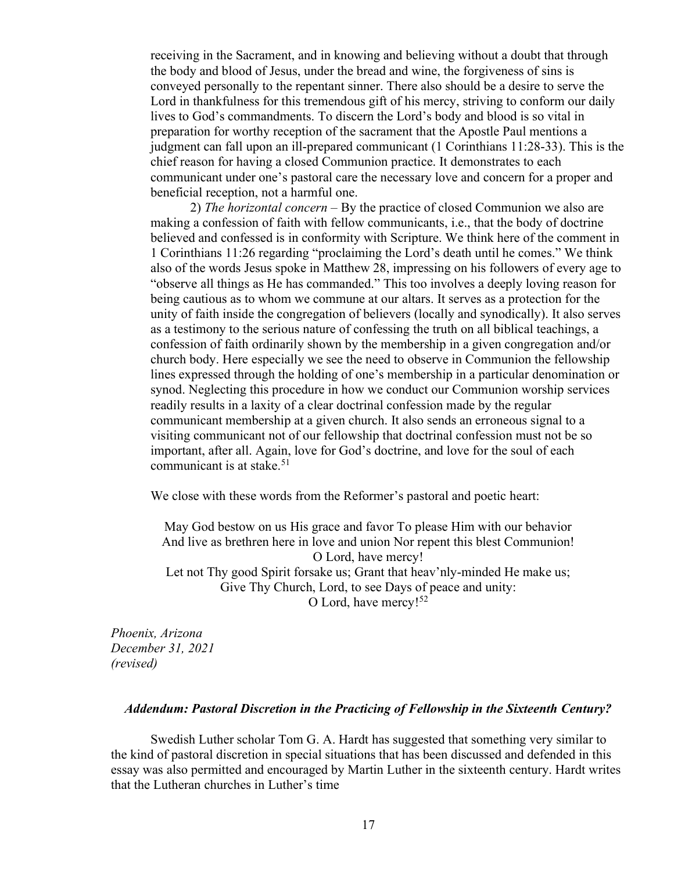receiving in the Sacrament, and in knowing and believing without a doubt that through the body and blood of Jesus, under the bread and wine, the forgiveness of sins is conveyed personally to the repentant sinner. There also should be a desire to serve the Lord in thankfulness for this tremendous gift of his mercy, striving to conform our daily lives to God's commandments. To discern the Lord's body and blood is so vital in preparation for worthy reception of the sacrament that the Apostle Paul mentions a judgment can fall upon an ill-prepared communicant (1 Corinthians 11:28-33). This is the chief reason for having a closed Communion practice. It demonstrates to each communicant under one's pastoral care the necessary love and concern for a proper and beneficial reception, not a harmful one.

2) The horizontal concern  $-$  By the practice of closed Communion we also are making a confession of faith with fellow communicants, i.e., that the body of doctrine believed and confessed is in conformity with Scripture. We think here of the comment in 1 Corinthians 11:26 regarding "proclaiming the Lord's death until he comes." We think also of the words Jesus spoke in Matthew 28, impressing on his followers of every age to "observe all things as He has commanded." This too involves a deeply loving reason for being cautious as to whom we commune at our altars. It serves as a protection for the unity of faith inside the congregation of believers (locally and synodically). It also serves as a testimony to the serious nature of confessing the truth on all biblical teachings, a confession of faith ordinarily shown by the membership in a given congregation and/or church body. Here especially we see the need to observe in Communion the fellowship lines expressed through the holding of one's membership in a particular denomination or synod. Neglecting this procedure in how we conduct our Communion worship services readily results in a laxity of a clear doctrinal confession made by the regular communicant membership at a given church. It also sends an erroneous signal to a visiting communicant not of our fellowship that doctrinal confession must not be so important, after all. Again, love for God's doctrine, and love for the soul of each communicant is at stake.<sup>51</sup>

We close with these words from the Reformer's pastoral and poetic heart:

May God bestow on us His grace and favor To please Him with our behavior And live as brethren here in love and union Nor repent this blest Communion! O Lord, have mercy! Let not Thy good Spirit forsake us; Grant that heav'nly-minded He make us; Give Thy Church, Lord, to see Days of peace and unity: O Lord, have mercy!<sup>52</sup>

Phoenix, Arizona December 31, 2021 (revised)

#### Addendum: Pastoral Discretion in the Practicing of Fellowship in the Sixteenth Century?

Swedish Luther scholar Tom G. A. Hardt has suggested that something very similar to the kind of pastoral discretion in special situations that has been discussed and defended in this essay was also permitted and encouraged by Martin Luther in the sixteenth century. Hardt writes that the Lutheran churches in Luther's time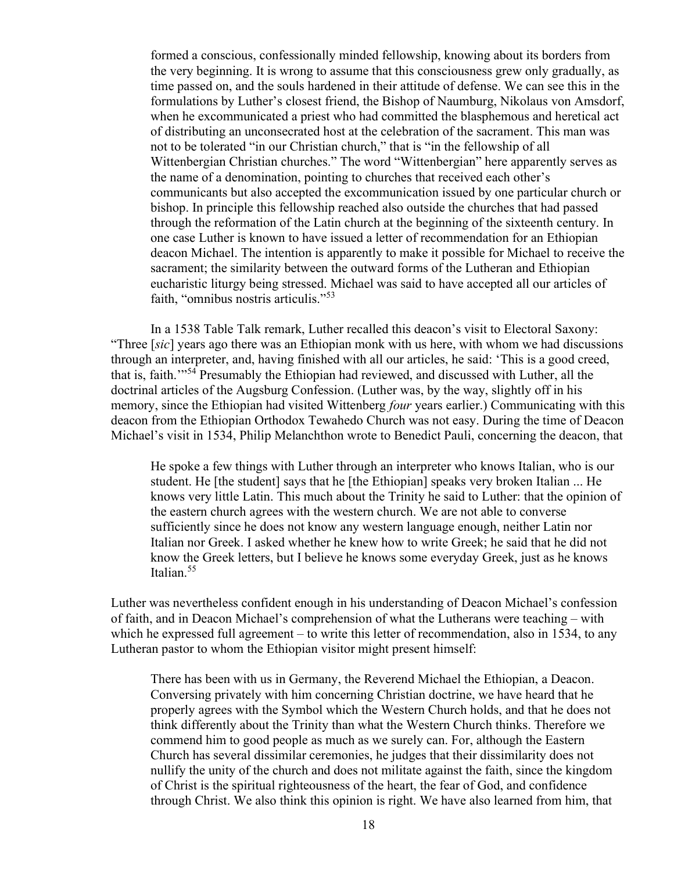formed a conscious, confessionally minded fellowship, knowing about its borders from the very beginning. It is wrong to assume that this consciousness grew only gradually, as time passed on, and the souls hardened in their attitude of defense. We can see this in the formulations by Luther's closest friend, the Bishop of Naumburg, Nikolaus von Amsdorf, when he excommunicated a priest who had committed the blasphemous and heretical act of distributing an unconsecrated host at the celebration of the sacrament. This man was not to be tolerated "in our Christian church," that is "in the fellowship of all Wittenbergian Christian churches." The word "Wittenbergian" here apparently serves as the name of a denomination, pointing to churches that received each other's communicants but also accepted the excommunication issued by one particular church or bishop. In principle this fellowship reached also outside the churches that had passed through the reformation of the Latin church at the beginning of the sixteenth century. In one case Luther is known to have issued a letter of recommendation for an Ethiopian deacon Michael. The intention is apparently to make it possible for Michael to receive the sacrament; the similarity between the outward forms of the Lutheran and Ethiopian eucharistic liturgy being stressed. Michael was said to have accepted all our articles of faith, "omnibus nostris articulis."<sup>53</sup>

In a 1538 Table Talk remark, Luther recalled this deacon's visit to Electoral Saxony: "Three [sic] years ago there was an Ethiopian monk with us here, with whom we had discussions through an interpreter, and, having finished with all our articles, he said: 'This is a good creed, that is, faith.'"<sup>54</sup> Presumably the Ethiopian had reviewed, and discussed with Luther, all the doctrinal articles of the Augsburg Confession. (Luther was, by the way, slightly off in his memory, since the Ethiopian had visited Wittenberg *four* years earlier.) Communicating with this deacon from the Ethiopian Orthodox Tewahedo Church was not easy. During the time of Deacon Michael's visit in 1534, Philip Melanchthon wrote to Benedict Pauli, concerning the deacon, that

He spoke a few things with Luther through an interpreter who knows Italian, who is our student. He [the student] says that he [the Ethiopian] speaks very broken Italian ... He knows very little Latin. This much about the Trinity he said to Luther: that the opinion of the eastern church agrees with the western church. We are not able to converse sufficiently since he does not know any western language enough, neither Latin nor Italian nor Greek. I asked whether he knew how to write Greek; he said that he did not know the Greek letters, but I believe he knows some everyday Greek, just as he knows Italian.<sup>55</sup>

Luther was nevertheless confident enough in his understanding of Deacon Michael's confession of faith, and in Deacon Michael's comprehension of what the Lutherans were teaching – with which he expressed full agreement – to write this letter of recommendation, also in 1534, to any Lutheran pastor to whom the Ethiopian visitor might present himself:

There has been with us in Germany, the Reverend Michael the Ethiopian, a Deacon. Conversing privately with him concerning Christian doctrine, we have heard that he properly agrees with the Symbol which the Western Church holds, and that he does not think differently about the Trinity than what the Western Church thinks. Therefore we commend him to good people as much as we surely can. For, although the Eastern Church has several dissimilar ceremonies, he judges that their dissimilarity does not nullify the unity of the church and does not militate against the faith, since the kingdom of Christ is the spiritual righteousness of the heart, the fear of God, and confidence through Christ. We also think this opinion is right. We have also learned from him, that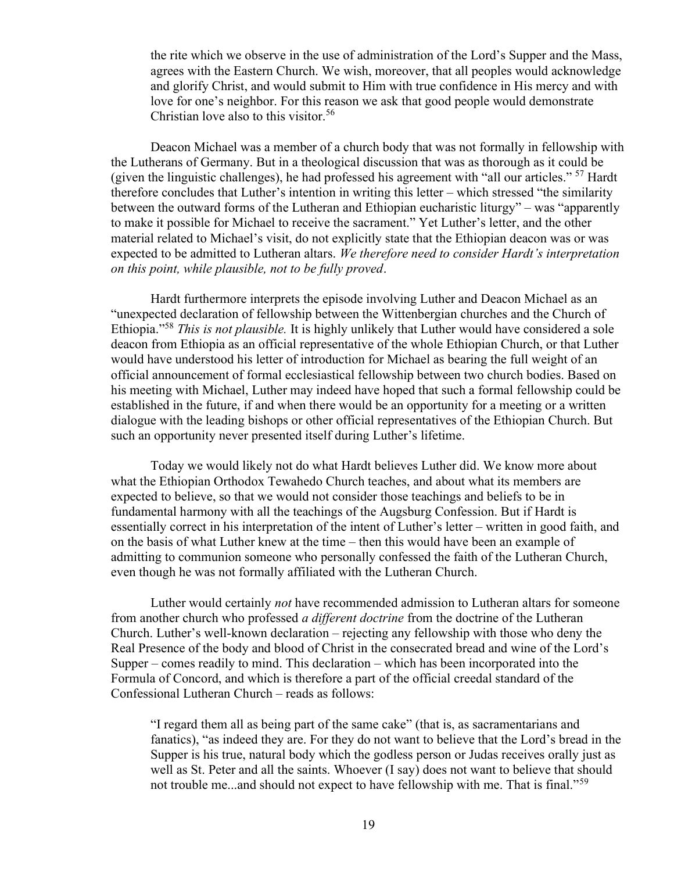the rite which we observe in the use of administration of the Lord's Supper and the Mass, agrees with the Eastern Church. We wish, moreover, that all peoples would acknowledge and glorify Christ, and would submit to Him with true confidence in His mercy and with love for one's neighbor. For this reason we ask that good people would demonstrate Christian love also to this visitor.<sup>56</sup>

Deacon Michael was a member of a church body that was not formally in fellowship with the Lutherans of Germany. But in a theological discussion that was as thorough as it could be (given the linguistic challenges), he had professed his agreement with "all our articles."  $57$  Hardt therefore concludes that Luther's intention in writing this letter – which stressed "the similarity between the outward forms of the Lutheran and Ethiopian eucharistic liturgy" – was "apparently to make it possible for Michael to receive the sacrament." Yet Luther's letter, and the other material related to Michael's visit, do not explicitly state that the Ethiopian deacon was or was expected to be admitted to Lutheran altars. We therefore need to consider Hardt's interpretation on this point, while plausible, not to be fully proved.

Hardt furthermore interprets the episode involving Luther and Deacon Michael as an "unexpected declaration of fellowship between the Wittenbergian churches and the Church of Ethiopia."<sup>58</sup> This is not plausible. It is highly unlikely that Luther would have considered a sole deacon from Ethiopia as an official representative of the whole Ethiopian Church, or that Luther would have understood his letter of introduction for Michael as bearing the full weight of an official announcement of formal ecclesiastical fellowship between two church bodies. Based on his meeting with Michael, Luther may indeed have hoped that such a formal fellowship could be established in the future, if and when there would be an opportunity for a meeting or a written dialogue with the leading bishops or other official representatives of the Ethiopian Church. But such an opportunity never presented itself during Luther's lifetime.

Today we would likely not do what Hardt believes Luther did. We know more about what the Ethiopian Orthodox Tewahedo Church teaches, and about what its members are expected to believe, so that we would not consider those teachings and beliefs to be in fundamental harmony with all the teachings of the Augsburg Confession. But if Hardt is essentially correct in his interpretation of the intent of Luther's letter – written in good faith, and on the basis of what Luther knew at the time – then this would have been an example of admitting to communion someone who personally confessed the faith of the Lutheran Church, even though he was not formally affiliated with the Lutheran Church.

Luther would certainly not have recommended admission to Lutheran altars for someone from another church who professed *a different doctrine* from the doctrine of the Lutheran Church. Luther's well-known declaration – rejecting any fellowship with those who deny the Real Presence of the body and blood of Christ in the consecrated bread and wine of the Lord's Supper – comes readily to mind. This declaration – which has been incorporated into the Formula of Concord, and which is therefore a part of the official creedal standard of the Confessional Lutheran Church – reads as follows:

"I regard them all as being part of the same cake" (that is, as sacramentarians and fanatics), "as indeed they are. For they do not want to believe that the Lord's bread in the Supper is his true, natural body which the godless person or Judas receives orally just as well as St. Peter and all the saints. Whoever (I say) does not want to believe that should not trouble me...and should not expect to have fellowship with me. That is final."<sup>59</sup>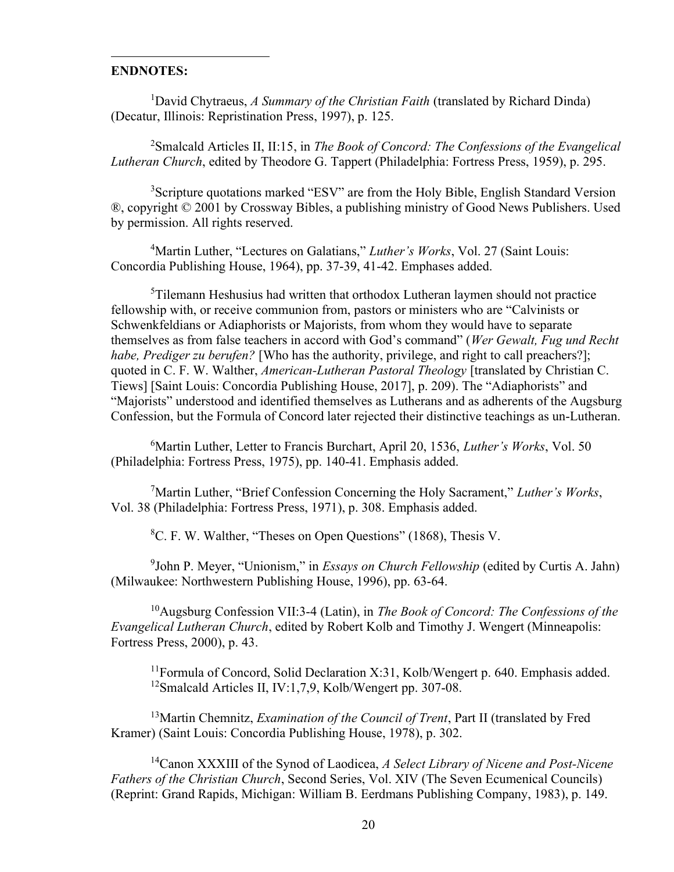# ENDNOTES:

<sup>1</sup>David Chytraeus, A Summary of the Christian Faith (translated by Richard Dinda) (Decatur, Illinois: Repristination Press, 1997), p. 125.

<sup>2</sup>Smalcald Articles II, II:15, in *The Book of Concord: The Confessions of the Evangelical* Lutheran Church, edited by Theodore G. Tappert (Philadelphia: Fortress Press, 1959), p. 295.

<sup>3</sup>Scripture quotations marked "ESV" are from the Holy Bible, English Standard Version ®, copyright © 2001 by Crossway Bibles, a publishing ministry of Good News Publishers. Used by permission. All rights reserved.

<sup>4</sup>Martin Luther, "Lectures on Galatians," Luther's Works, Vol. 27 (Saint Louis: Concordia Publishing House, 1964), pp. 37-39, 41-42. Emphases added.

<sup>5</sup>Tilemann Heshusius had written that orthodox Lutheran laymen should not practice fellowship with, or receive communion from, pastors or ministers who are "Calvinists or Schwenkfeldians or Adiaphorists or Majorists, from whom they would have to separate themselves as from false teachers in accord with God's command" (Wer Gewalt, Fug und Recht habe, Prediger zu berufen? [Who has the authority, privilege, and right to call preachers?]; quoted in C. F. W. Walther, American-Lutheran Pastoral Theology [translated by Christian C. Tiews] [Saint Louis: Concordia Publishing House, 2017], p. 209). The "Adiaphorists" and "Majorists" understood and identified themselves as Lutherans and as adherents of the Augsburg Confession, but the Formula of Concord later rejected their distinctive teachings as un-Lutheran.

 $6$ Martin Luther, Letter to Francis Burchart, April 20, 1536, Luther's Works, Vol. 50 (Philadelphia: Fortress Press, 1975), pp. 140-41. Emphasis added.

<sup>7</sup>Martin Luther, "Brief Confession Concerning the Holy Sacrament," *Luther's Works*, Vol. 38 (Philadelphia: Fortress Press, 1971), p. 308. Emphasis added.

<sup>8</sup>C. F. W. Walther, "Theses on Open Questions" (1868), Thesis V.

 $9$ John P. Meyer, "Unionism," in *Essays on Church Fellowship* (edited by Curtis A. Jahn) (Milwaukee: Northwestern Publishing House, 1996), pp. 63-64.

<sup>10</sup>Augsburg Confession VII:3-4 (Latin), in The Book of Concord: The Confessions of the Evangelical Lutheran Church, edited by Robert Kolb and Timothy J. Wengert (Minneapolis: Fortress Press, 2000), p. 43.

<sup>11</sup>Formula of Concord, Solid Declaration X:31, Kolb/Wengert p. 640. Emphasis added. <sup>12</sup>Smalcald Articles II, IV:1,7,9, Kolb/Wengert pp. 307-08.

 $13$ Martin Chemnitz, *Examination of the Council of Trent*, Part II (translated by Fred Kramer) (Saint Louis: Concordia Publishing House, 1978), p. 302.

 $14$ Canon XXXIII of the Synod of Laodicea, A Select Library of Nicene and Post-Nicene Fathers of the Christian Church, Second Series, Vol. XIV (The Seven Ecumenical Councils) (Reprint: Grand Rapids, Michigan: William B. Eerdmans Publishing Company, 1983), p. 149.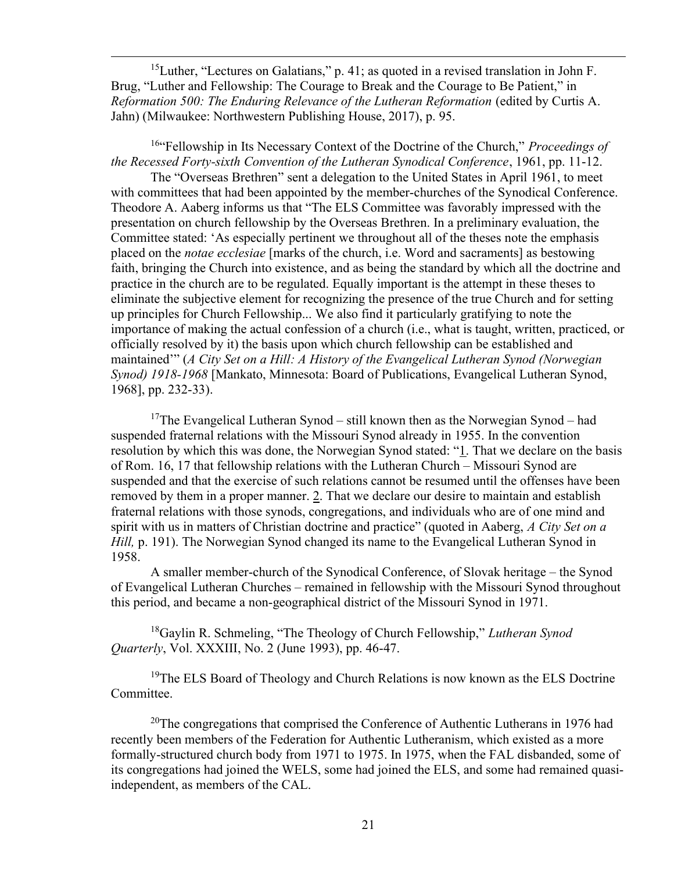<sup>15</sup>Luther, "Lectures on Galatians," p. 41; as quoted in a revised translation in John F. Brug, "Luther and Fellowship: The Courage to Break and the Courage to Be Patient," in Reformation 500: The Enduring Relevance of the Lutheran Reformation (edited by Curtis A. Jahn) (Milwaukee: Northwestern Publishing House, 2017), p. 95.

<sup>16"</sup>Fellowship in Its Necessary Context of the Doctrine of the Church," *Proceedings of* the Recessed Forty-sixth Convention of the Lutheran Synodical Conference, 1961, pp. 11-12.

The "Overseas Brethren" sent a delegation to the United States in April 1961, to meet with committees that had been appointed by the member-churches of the Synodical Conference. Theodore A. Aaberg informs us that "The ELS Committee was favorably impressed with the presentation on church fellowship by the Overseas Brethren. In a preliminary evaluation, the Committee stated: 'As especially pertinent we throughout all of the theses note the emphasis placed on the notae ecclesiae [marks of the church, i.e. Word and sacraments] as bestowing faith, bringing the Church into existence, and as being the standard by which all the doctrine and practice in the church are to be regulated. Equally important is the attempt in these theses to eliminate the subjective element for recognizing the presence of the true Church and for setting up principles for Church Fellowship... We also find it particularly gratifying to note the importance of making the actual confession of a church (i.e., what is taught, written, practiced, or officially resolved by it) the basis upon which church fellowship can be established and maintained" (A City Set on a Hill: A History of the Evangelical Lutheran Synod (Norwegian Synod) 1918-1968 [Mankato, Minnesota: Board of Publications, Evangelical Lutheran Synod, 1968], pp. 232-33).

<sup>17</sup>The Evangelical Lutheran Synod – still known then as the Norwegian Synod – had suspended fraternal relations with the Missouri Synod already in 1955. In the convention resolution by which this was done, the Norwegian Synod stated: "1. That we declare on the basis of Rom. 16, 17 that fellowship relations with the Lutheran Church – Missouri Synod are suspended and that the exercise of such relations cannot be resumed until the offenses have been removed by them in a proper manner. 2. That we declare our desire to maintain and establish fraternal relations with those synods, congregations, and individuals who are of one mind and spirit with us in matters of Christian doctrine and practice" (quoted in Aaberg, A City Set on a Hill, p. 191). The Norwegian Synod changed its name to the Evangelical Lutheran Synod in 1958.

A smaller member-church of the Synodical Conference, of Slovak heritage – the Synod of Evangelical Lutheran Churches – remained in fellowship with the Missouri Synod throughout this period, and became a non-geographical district of the Missouri Synod in 1971.

<sup>18</sup>Gaylin R. Schmeling, "The Theology of Church Fellowship," *Lutheran Synod* Quarterly, Vol. XXXIII, No. 2 (June 1993), pp. 46-47.

<sup>19</sup>The ELS Board of Theology and Church Relations is now known as the ELS Doctrine Committee.

<sup>20</sup>The congregations that comprised the Conference of Authentic Lutherans in 1976 had recently been members of the Federation for Authentic Lutheranism, which existed as a more formally-structured church body from 1971 to 1975. In 1975, when the FAL disbanded, some of its congregations had joined the WELS, some had joined the ELS, and some had remained quasiindependent, as members of the CAL.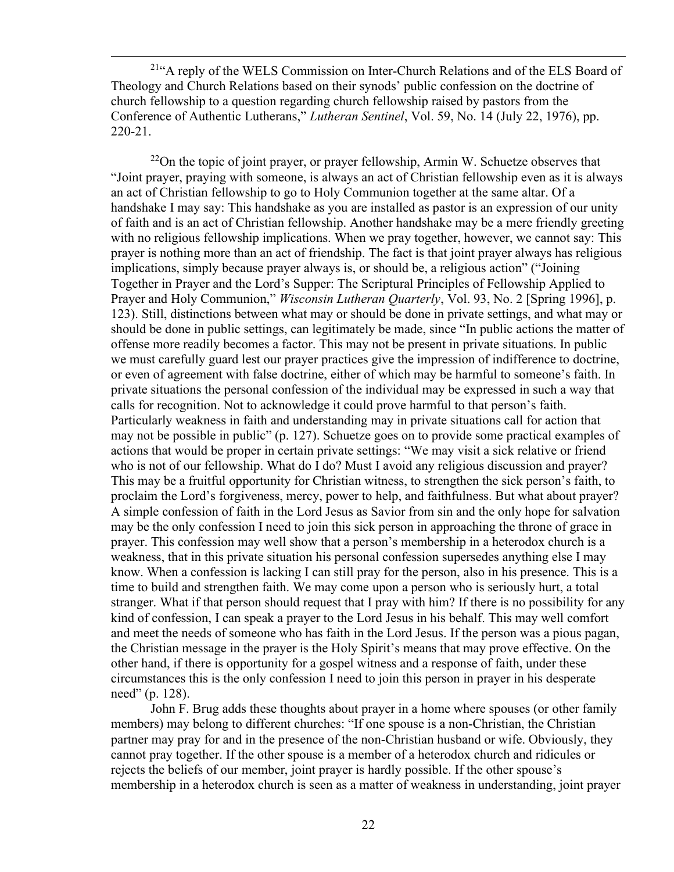<sup>21</sup>"A reply of the WELS Commission on Inter-Church Relations and of the ELS Board of Theology and Church Relations based on their synods' public confession on the doctrine of church fellowship to a question regarding church fellowship raised by pastors from the Conference of Authentic Lutherans," Lutheran Sentinel, Vol. 59, No. 14 (July 22, 1976), pp. 220-21.

 $22$ On the topic of joint prayer, or prayer fellowship, Armin W. Schuetze observes that "Joint prayer, praying with someone, is always an act of Christian fellowship even as it is always an act of Christian fellowship to go to Holy Communion together at the same altar. Of a handshake I may say: This handshake as you are installed as pastor is an expression of our unity of faith and is an act of Christian fellowship. Another handshake may be a mere friendly greeting with no religious fellowship implications. When we pray together, however, we cannot say: This prayer is nothing more than an act of friendship. The fact is that joint prayer always has religious implications, simply because prayer always is, or should be, a religious action" ("Joining Together in Prayer and the Lord's Supper: The Scriptural Principles of Fellowship Applied to Prayer and Holy Communion," *Wisconsin Lutheran Quarterly*, Vol. 93, No. 2 [Spring 1996], p. 123). Still, distinctions between what may or should be done in private settings, and what may or should be done in public settings, can legitimately be made, since "In public actions the matter of offense more readily becomes a factor. This may not be present in private situations. In public we must carefully guard lest our prayer practices give the impression of indifference to doctrine, or even of agreement with false doctrine, either of which may be harmful to someone's faith. In private situations the personal confession of the individual may be expressed in such a way that calls for recognition. Not to acknowledge it could prove harmful to that person's faith. Particularly weakness in faith and understanding may in private situations call for action that may not be possible in public" (p. 127). Schuetze goes on to provide some practical examples of actions that would be proper in certain private settings: "We may visit a sick relative or friend who is not of our fellowship. What do I do? Must I avoid any religious discussion and prayer? This may be a fruitful opportunity for Christian witness, to strengthen the sick person's faith, to proclaim the Lord's forgiveness, mercy, power to help, and faithfulness. But what about prayer? A simple confession of faith in the Lord Jesus as Savior from sin and the only hope for salvation may be the only confession I need to join this sick person in approaching the throne of grace in prayer. This confession may well show that a person's membership in a heterodox church is a weakness, that in this private situation his personal confession supersedes anything else I may know. When a confession is lacking I can still pray for the person, also in his presence. This is a time to build and strengthen faith. We may come upon a person who is seriously hurt, a total stranger. What if that person should request that I pray with him? If there is no possibility for any kind of confession, I can speak a prayer to the Lord Jesus in his behalf. This may well comfort and meet the needs of someone who has faith in the Lord Jesus. If the person was a pious pagan, the Christian message in the prayer is the Holy Spirit's means that may prove effective. On the other hand, if there is opportunity for a gospel witness and a response of faith, under these circumstances this is the only confession I need to join this person in prayer in his desperate need" (p. 128).

John F. Brug adds these thoughts about prayer in a home where spouses (or other family members) may belong to different churches: "If one spouse is a non-Christian, the Christian partner may pray for and in the presence of the non-Christian husband or wife. Obviously, they cannot pray together. If the other spouse is a member of a heterodox church and ridicules or rejects the beliefs of our member, joint prayer is hardly possible. If the other spouse's membership in a heterodox church is seen as a matter of weakness in understanding, joint prayer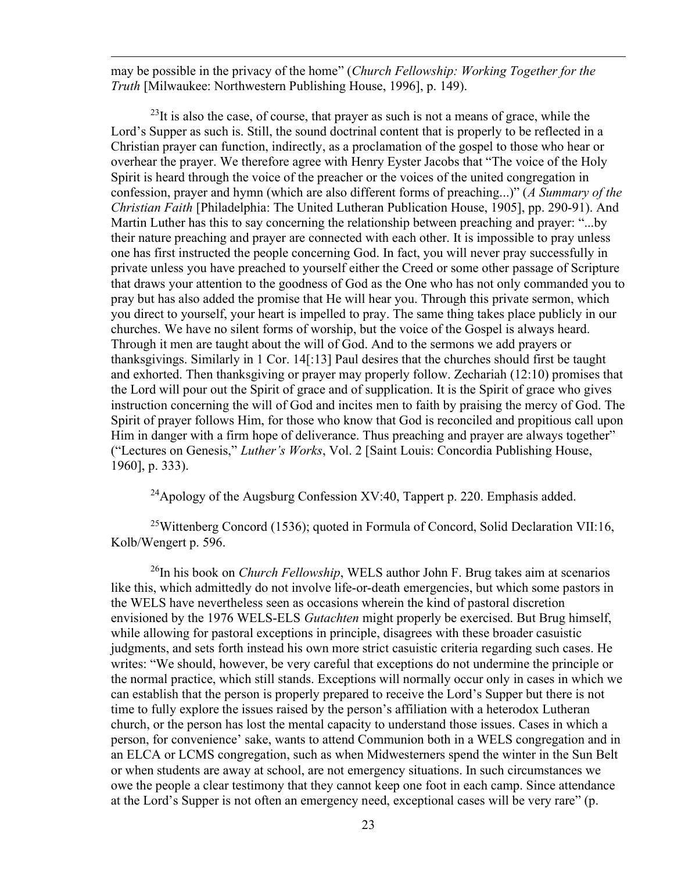may be possible in the privacy of the home" (Church Fellowship: Working Together for the Truth [Milwaukee: Northwestern Publishing House, 1996], p. 149).

 $^{23}$ It is also the case, of course, that prayer as such is not a means of grace, while the Lord's Supper as such is. Still, the sound doctrinal content that is properly to be reflected in a Christian prayer can function, indirectly, as a proclamation of the gospel to those who hear or overhear the prayer. We therefore agree with Henry Eyster Jacobs that "The voice of the Holy Spirit is heard through the voice of the preacher or the voices of the united congregation in confession, prayer and hymn (which are also different forms of preaching...)" (A Summary of the Christian Faith [Philadelphia: The United Lutheran Publication House, 1905], pp. 290-91). And Martin Luther has this to say concerning the relationship between preaching and prayer: "...by their nature preaching and prayer are connected with each other. It is impossible to pray unless one has first instructed the people concerning God. In fact, you will never pray successfully in private unless you have preached to yourself either the Creed or some other passage of Scripture that draws your attention to the goodness of God as the One who has not only commanded you to pray but has also added the promise that He will hear you. Through this private sermon, which you direct to yourself, your heart is impelled to pray. The same thing takes place publicly in our churches. We have no silent forms of worship, but the voice of the Gospel is always heard. Through it men are taught about the will of God. And to the sermons we add prayers or thanksgivings. Similarly in 1 Cor. 14[:13] Paul desires that the churches should first be taught and exhorted. Then thanksgiving or prayer may properly follow. Zechariah (12:10) promises that the Lord will pour out the Spirit of grace and of supplication. It is the Spirit of grace who gives instruction concerning the will of God and incites men to faith by praising the mercy of God. The Spirit of prayer follows Him, for those who know that God is reconciled and propitious call upon Him in danger with a firm hope of deliverance. Thus preaching and prayer are always together" ("Lectures on Genesis," Luther's Works, Vol. 2 [Saint Louis: Concordia Publishing House, 1960], p. 333).

<sup>24</sup>Apology of the Augsburg Confession XV:40, Tappert p. 220. Emphasis added.

<sup>25</sup>Wittenberg Concord (1536); quoted in Formula of Concord, Solid Declaration VII:16, Kolb/Wengert p. 596.

 $^{26}$ In his book on *Church Fellowship*, WELS author John F. Brug takes aim at scenarios like this, which admittedly do not involve life-or-death emergencies, but which some pastors in the WELS have nevertheless seen as occasions wherein the kind of pastoral discretion envisioned by the 1976 WELS-ELS *Gutachten* might properly be exercised. But Brug himself, while allowing for pastoral exceptions in principle, disagrees with these broader casuistic judgments, and sets forth instead his own more strict casuistic criteria regarding such cases. He writes: "We should, however, be very careful that exceptions do not undermine the principle or the normal practice, which still stands. Exceptions will normally occur only in cases in which we can establish that the person is properly prepared to receive the Lord's Supper but there is not time to fully explore the issues raised by the person's affiliation with a heterodox Lutheran church, or the person has lost the mental capacity to understand those issues. Cases in which a person, for convenience' sake, wants to attend Communion both in a WELS congregation and in an ELCA or LCMS congregation, such as when Midwesterners spend the winter in the Sun Belt or when students are away at school, are not emergency situations. In such circumstances we owe the people a clear testimony that they cannot keep one foot in each camp. Since attendance at the Lord's Supper is not often an emergency need, exceptional cases will be very rare" (p.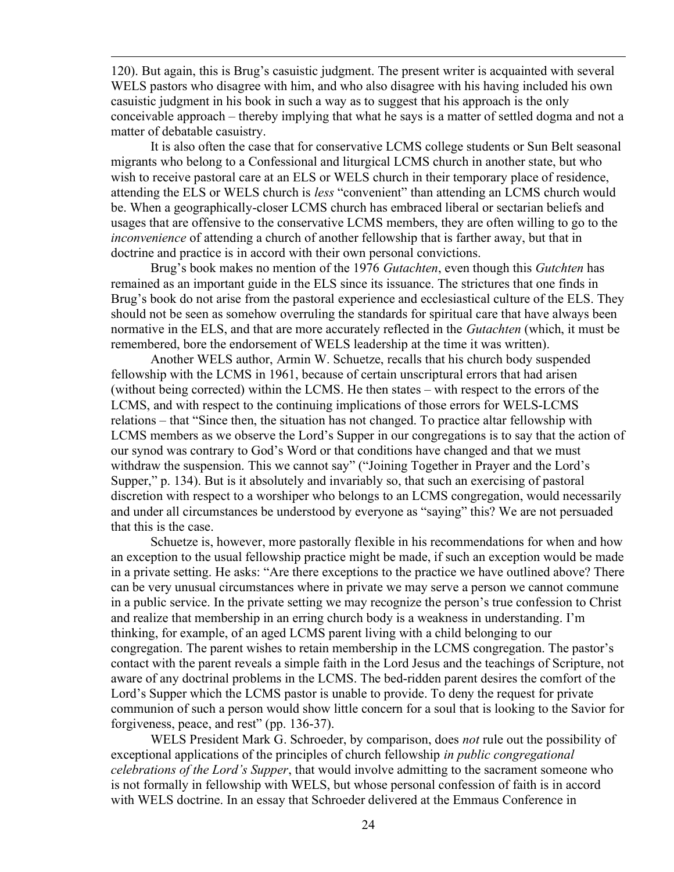120). But again, this is Brug's casuistic judgment. The present writer is acquainted with several WELS pastors who disagree with him, and who also disagree with his having included his own casuistic judgment in his book in such a way as to suggest that his approach is the only conceivable approach – thereby implying that what he says is a matter of settled dogma and not a matter of debatable casuistry.

It is also often the case that for conservative LCMS college students or Sun Belt seasonal migrants who belong to a Confessional and liturgical LCMS church in another state, but who wish to receive pastoral care at an ELS or WELS church in their temporary place of residence, attending the ELS or WELS church is *less* "convenient" than attending an LCMS church would be. When a geographically-closer LCMS church has embraced liberal or sectarian beliefs and usages that are offensive to the conservative LCMS members, they are often willing to go to the inconvenience of attending a church of another fellowship that is farther away, but that in doctrine and practice is in accord with their own personal convictions.

Brug's book makes no mention of the 1976 *Gutachten*, even though this *Gutchten* has remained as an important guide in the ELS since its issuance. The strictures that one finds in Brug's book do not arise from the pastoral experience and ecclesiastical culture of the ELS. They should not be seen as somehow overruling the standards for spiritual care that have always been normative in the ELS, and that are more accurately reflected in the *Gutachten* (which, it must be remembered, bore the endorsement of WELS leadership at the time it was written).

Another WELS author, Armin W. Schuetze, recalls that his church body suspended fellowship with the LCMS in 1961, because of certain unscriptural errors that had arisen (without being corrected) within the LCMS. He then states – with respect to the errors of the LCMS, and with respect to the continuing implications of those errors for WELS-LCMS relations – that "Since then, the situation has not changed. To practice altar fellowship with LCMS members as we observe the Lord's Supper in our congregations is to say that the action of our synod was contrary to God's Word or that conditions have changed and that we must withdraw the suspension. This we cannot say" ("Joining Together in Prayer and the Lord's Supper," p. 134). But is it absolutely and invariably so, that such an exercising of pastoral discretion with respect to a worshiper who belongs to an LCMS congregation, would necessarily and under all circumstances be understood by everyone as "saying" this? We are not persuaded that this is the case.

Schuetze is, however, more pastorally flexible in his recommendations for when and how an exception to the usual fellowship practice might be made, if such an exception would be made in a private setting. He asks: "Are there exceptions to the practice we have outlined above? There can be very unusual circumstances where in private we may serve a person we cannot commune in a public service. In the private setting we may recognize the person's true confession to Christ and realize that membership in an erring church body is a weakness in understanding. I'm thinking, for example, of an aged LCMS parent living with a child belonging to our congregation. The parent wishes to retain membership in the LCMS congregation. The pastor's contact with the parent reveals a simple faith in the Lord Jesus and the teachings of Scripture, not aware of any doctrinal problems in the LCMS. The bed-ridden parent desires the comfort of the Lord's Supper which the LCMS pastor is unable to provide. To deny the request for private communion of such a person would show little concern for a soul that is looking to the Savior for forgiveness, peace, and rest" (pp. 136-37).

WELS President Mark G. Schroeder, by comparison, does not rule out the possibility of exceptional applications of the principles of church fellowship in public congregational celebrations of the Lord's Supper, that would involve admitting to the sacrament someone who is not formally in fellowship with WELS, but whose personal confession of faith is in accord with WELS doctrine. In an essay that Schroeder delivered at the Emmaus Conference in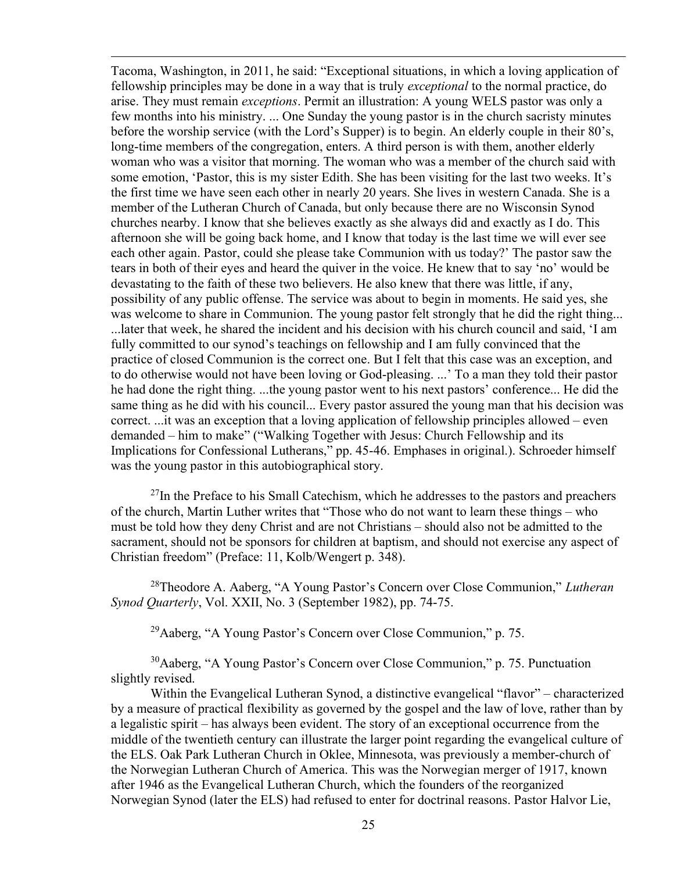Tacoma, Washington, in 2011, he said: "Exceptional situations, in which a loving application of fellowship principles may be done in a way that is truly exceptional to the normal practice, do arise. They must remain exceptions. Permit an illustration: A young WELS pastor was only a few months into his ministry. ... One Sunday the young pastor is in the church sacristy minutes before the worship service (with the Lord's Supper) is to begin. An elderly couple in their 80's, long-time members of the congregation, enters. A third person is with them, another elderly woman who was a visitor that morning. The woman who was a member of the church said with some emotion, 'Pastor, this is my sister Edith. She has been visiting for the last two weeks. It's the first time we have seen each other in nearly 20 years. She lives in western Canada. She is a member of the Lutheran Church of Canada, but only because there are no Wisconsin Synod churches nearby. I know that she believes exactly as she always did and exactly as I do. This afternoon she will be going back home, and I know that today is the last time we will ever see each other again. Pastor, could she please take Communion with us today?' The pastor saw the tears in both of their eyes and heard the quiver in the voice. He knew that to say 'no' would be devastating to the faith of these two believers. He also knew that there was little, if any, possibility of any public offense. The service was about to begin in moments. He said yes, she was welcome to share in Communion. The young pastor felt strongly that he did the right thing... ...later that week, he shared the incident and his decision with his church council and said, 'I am fully committed to our synod's teachings on fellowship and I am fully convinced that the practice of closed Communion is the correct one. But I felt that this case was an exception, and to do otherwise would not have been loving or God-pleasing. ...' To a man they told their pastor he had done the right thing. ...the young pastor went to his next pastors' conference... He did the same thing as he did with his council... Every pastor assured the young man that his decision was correct. ...it was an exception that a loving application of fellowship principles allowed – even demanded – him to make" ("Walking Together with Jesus: Church Fellowship and its Implications for Confessional Lutherans," pp. 45-46. Emphases in original.). Schroeder himself was the young pastor in this autobiographical story.

 $^{27}$ In the Preface to his Small Catechism, which he addresses to the pastors and preachers of the church, Martin Luther writes that "Those who do not want to learn these things – who must be told how they deny Christ and are not Christians – should also not be admitted to the sacrament, should not be sponsors for children at baptism, and should not exercise any aspect of Christian freedom" (Preface: 11, Kolb/Wengert p. 348).

<sup>28</sup>Theodore A. Aaberg, "A Young Pastor's Concern over Close Communion," Lutheran Synod Quarterly, Vol. XXII, No. 3 (September 1982), pp. 74-75.

 $^{29}$ Aaberg, "A Young Pastor's Concern over Close Communion," p. 75.

<sup>30</sup>Aaberg, "A Young Pastor's Concern over Close Communion," p. 75. Punctuation slightly revised.

Within the Evangelical Lutheran Synod, a distinctive evangelical "flavor" – characterized by a measure of practical flexibility as governed by the gospel and the law of love, rather than by a legalistic spirit – has always been evident. The story of an exceptional occurrence from the middle of the twentieth century can illustrate the larger point regarding the evangelical culture of the ELS. Oak Park Lutheran Church in Oklee, Minnesota, was previously a member-church of the Norwegian Lutheran Church of America. This was the Norwegian merger of 1917, known after 1946 as the Evangelical Lutheran Church, which the founders of the reorganized Norwegian Synod (later the ELS) had refused to enter for doctrinal reasons. Pastor Halvor Lie,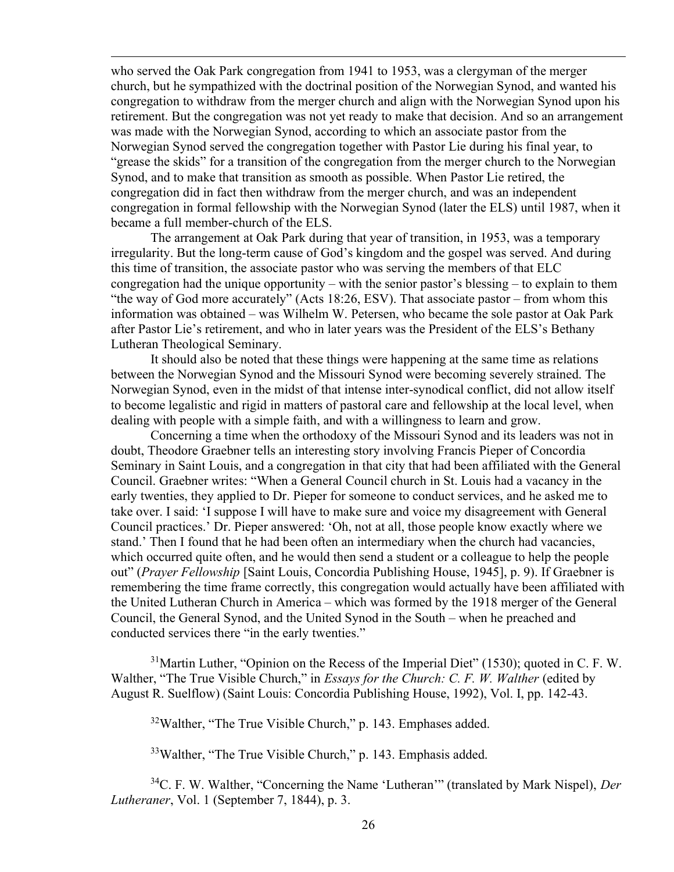who served the Oak Park congregation from 1941 to 1953, was a clergyman of the merger church, but he sympathized with the doctrinal position of the Norwegian Synod, and wanted his congregation to withdraw from the merger church and align with the Norwegian Synod upon his retirement. But the congregation was not yet ready to make that decision. And so an arrangement was made with the Norwegian Synod, according to which an associate pastor from the Norwegian Synod served the congregation together with Pastor Lie during his final year, to "grease the skids" for a transition of the congregation from the merger church to the Norwegian Synod, and to make that transition as smooth as possible. When Pastor Lie retired, the congregation did in fact then withdraw from the merger church, and was an independent congregation in formal fellowship with the Norwegian Synod (later the ELS) until 1987, when it became a full member-church of the ELS.

The arrangement at Oak Park during that year of transition, in 1953, was a temporary irregularity. But the long-term cause of God's kingdom and the gospel was served. And during this time of transition, the associate pastor who was serving the members of that ELC congregation had the unique opportunity – with the senior pastor's blessing – to explain to them "the way of God more accurately" (Acts 18:26, ESV). That associate pastor – from whom this information was obtained – was Wilhelm W. Petersen, who became the sole pastor at Oak Park after Pastor Lie's retirement, and who in later years was the President of the ELS's Bethany Lutheran Theological Seminary.

It should also be noted that these things were happening at the same time as relations between the Norwegian Synod and the Missouri Synod were becoming severely strained. The Norwegian Synod, even in the midst of that intense inter-synodical conflict, did not allow itself to become legalistic and rigid in matters of pastoral care and fellowship at the local level, when dealing with people with a simple faith, and with a willingness to learn and grow.

Concerning a time when the orthodoxy of the Missouri Synod and its leaders was not in doubt, Theodore Graebner tells an interesting story involving Francis Pieper of Concordia Seminary in Saint Louis, and a congregation in that city that had been affiliated with the General Council. Graebner writes: "When a General Council church in St. Louis had a vacancy in the early twenties, they applied to Dr. Pieper for someone to conduct services, and he asked me to take over. I said: 'I suppose I will have to make sure and voice my disagreement with General Council practices.' Dr. Pieper answered: 'Oh, not at all, those people know exactly where we stand.' Then I found that he had been often an intermediary when the church had vacancies, which occurred quite often, and he would then send a student or a colleague to help the people out" (Prayer Fellowship [Saint Louis, Concordia Publishing House, 1945], p. 9). If Graebner is remembering the time frame correctly, this congregation would actually have been affiliated with the United Lutheran Church in America – which was formed by the 1918 merger of the General Council, the General Synod, and the United Synod in the South – when he preached and conducted services there "in the early twenties."

 $31$ Martin Luther, "Opinion on the Recess of the Imperial Diet" (1530); quoted in C. F. W. Walther, "The True Visible Church," in *Essays for the Church: C. F. W. Walther* (edited by August R. Suelflow) (Saint Louis: Concordia Publishing House, 1992), Vol. I, pp. 142-43.

 $32$ Walther, "The True Visible Church," p. 143. Emphases added.

 $33$ Walther, "The True Visible Church," p. 143. Emphasis added.

 $34C$ . F. W. Walther, "Concerning the Name 'Lutheran'" (translated by Mark Nispel), Der Lutheraner, Vol. 1 (September 7, 1844), p. 3.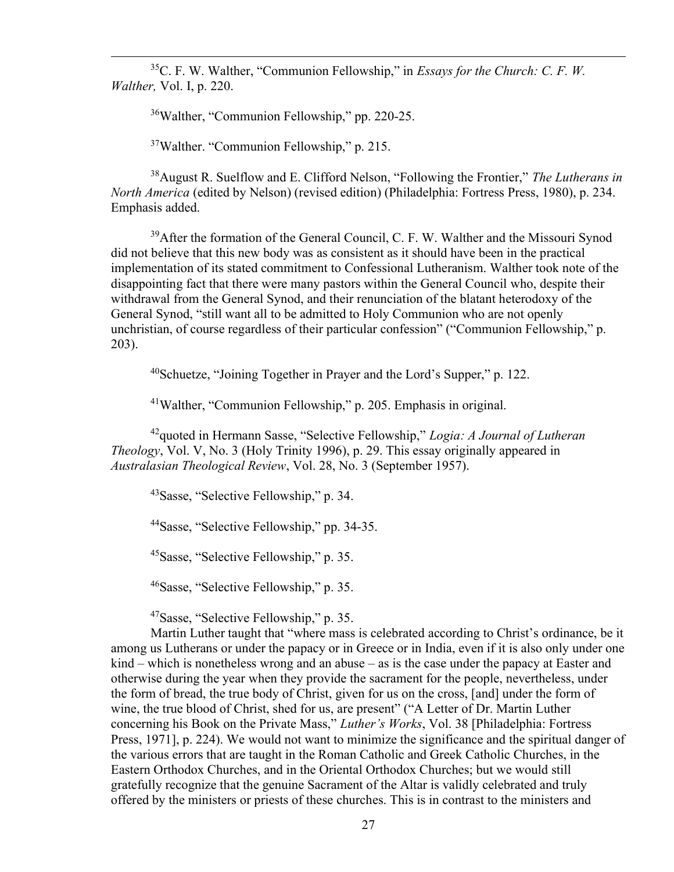$35C$ . F. W. Walther, "Communion Fellowship," in *Essays for the Church: C. F. W.* Walther, Vol. I, p. 220.

<sup>36</sup>Walther, "Communion Fellowship," pp. 220-25.

<sup>37</sup>Walther. "Communion Fellowship," p. 215.

 $38$ August R. Suelflow and E. Clifford Nelson, "Following the Frontier," *The Lutherans in* North America (edited by Nelson) (revised edition) (Philadelphia: Fortress Press, 1980), p. 234. Emphasis added.

<sup>39</sup>After the formation of the General Council, C. F. W. Walther and the Missouri Synod did not believe that this new body was as consistent as it should have been in the practical implementation of its stated commitment to Confessional Lutheranism. Walther took note of the disappointing fact that there were many pastors within the General Council who, despite their withdrawal from the General Synod, and their renunciation of the blatant heterodoxy of the General Synod, "still want all to be admitted to Holy Communion who are not openly unchristian, of course regardless of their particular confession" ("Communion Fellowship," p. 203).

<sup>40</sup>Schuetze, "Joining Together in Prayer and the Lord's Supper," p. 122.

<sup>41</sup>Walther, "Communion Fellowship," p. 205. Emphasis in original.

 $42$ quoted in Hermann Sasse, "Selective Fellowship," Logia: A Journal of Lutheran Theology, Vol. V, No. 3 (Holy Trinity 1996), p. 29. This essay originally appeared in Australasian Theological Review, Vol. 28, No. 3 (September 1957).

<sup>43</sup>Sasse, "Selective Fellowship," p. 34.

<sup>44</sup>Sasse, "Selective Fellowship," pp. 34-35.

<sup>45</sup>Sasse, "Selective Fellowship," p. 35.

<sup>46</sup>Sasse, "Selective Fellowship," p. 35.

<sup>47</sup>Sasse, "Selective Fellowship," p. 35.

Martin Luther taught that "where mass is celebrated according to Christ's ordinance, be it among us Lutherans or under the papacy or in Greece or in India, even if it is also only under one kind – which is nonetheless wrong and an abuse – as is the case under the papacy at Easter and otherwise during the year when they provide the sacrament for the people, nevertheless, under the form of bread, the true body of Christ, given for us on the cross, [and] under the form of wine, the true blood of Christ, shed for us, are present" ("A Letter of Dr. Martin Luther concerning his Book on the Private Mass," Luther's Works, Vol. 38 [Philadelphia: Fortress Press, 1971], p. 224). We would not want to minimize the significance and the spiritual danger of the various errors that are taught in the Roman Catholic and Greek Catholic Churches, in the Eastern Orthodox Churches, and in the Oriental Orthodox Churches; but we would still gratefully recognize that the genuine Sacrament of the Altar is validly celebrated and truly offered by the ministers or priests of these churches. This is in contrast to the ministers and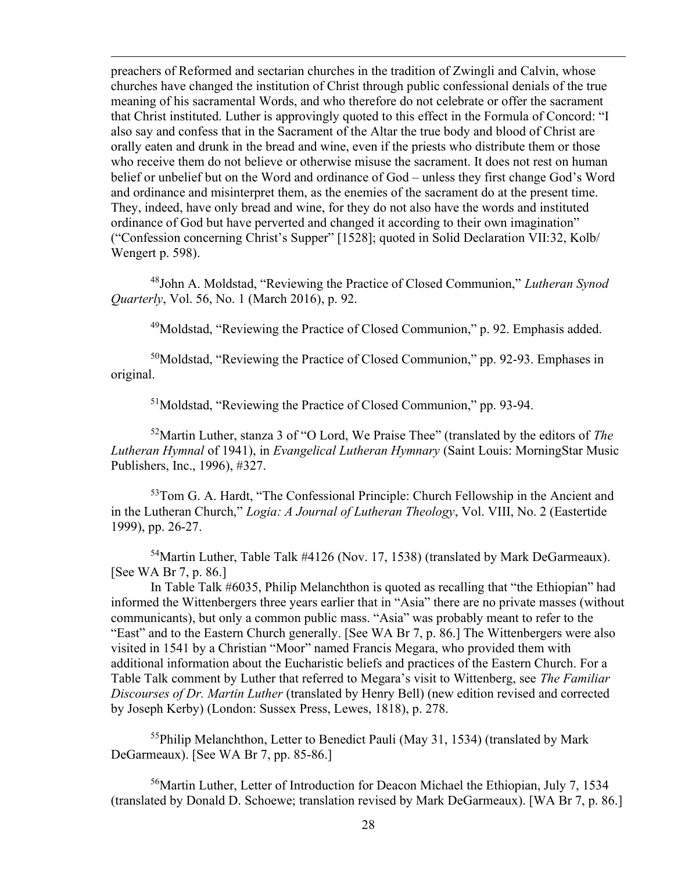preachers of Reformed and sectarian churches in the tradition of Zwingli and Calvin, whose churches have changed the institution of Christ through public confessional denials of the true meaning of his sacramental Words, and who therefore do not celebrate or offer the sacrament that Christ instituted. Luther is approvingly quoted to this effect in the Formula of Concord: "I also say and confess that in the Sacrament of the Altar the true body and blood of Christ are orally eaten and drunk in the bread and wine, even if the priests who distribute them or those who receive them do not believe or otherwise misuse the sacrament. It does not rest on human belief or unbelief but on the Word and ordinance of God – unless they first change God's Word and ordinance and misinterpret them, as the enemies of the sacrament do at the present time. They, indeed, have only bread and wine, for they do not also have the words and instituted ordinance of God but have perverted and changed it according to their own imagination" ("Confession concerning Christ's Supper" [1528]; quoted in Solid Declaration VII:32, Kolb/ Wengert p. 598).

<sup>48</sup>John A. Moldstad, "Reviewing the Practice of Closed Communion," Lutheran Synod Quarterly, Vol. 56, No. 1 (March 2016), p. 92.

 $49$ Moldstad, "Reviewing the Practice of Closed Communion," p. 92. Emphasis added.

<sup>50</sup>Moldstad, "Reviewing the Practice of Closed Communion," pp. 92-93. Emphases in original.

<sup>51</sup>Moldstad, "Reviewing the Practice of Closed Communion," pp. 93-94.

 $52$ Martin Luther, stanza 3 of "O Lord, We Praise Thee" (translated by the editors of The Lutheran Hymnal of 1941), in Evangelical Lutheran Hymnary (Saint Louis: MorningStar Music Publishers, Inc., 1996), #327.

<sup>53</sup>Tom G. A. Hardt, "The Confessional Principle: Church Fellowship in the Ancient and in the Lutheran Church," Logia: A Journal of Lutheran Theology, Vol. VIII, No. 2 (Eastertide 1999), pp. 26-27.

<sup>54</sup>Martin Luther, Table Talk #4126 (Nov. 17, 1538) (translated by Mark DeGarmeaux). [See WA Br 7, p. 86.]

In Table Talk #6035, Philip Melanchthon is quoted as recalling that "the Ethiopian" had informed the Wittenbergers three years earlier that in "Asia" there are no private masses (without communicants), but only a common public mass. "Asia" was probably meant to refer to the "East" and to the Eastern Church generally. [See WA Br 7, p. 86.] The Wittenbergers were also visited in 1541 by a Christian "Moor" named Francis Megara, who provided them with additional information about the Eucharistic beliefs and practices of the Eastern Church. For a Table Talk comment by Luther that referred to Megara's visit to Wittenberg, see The Familiar Discourses of Dr. Martin Luther (translated by Henry Bell) (new edition revised and corrected by Joseph Kerby) (London: Sussex Press, Lewes, 1818), p. 278.

<sup>55</sup>Philip Melanchthon, Letter to Benedict Pauli (May 31, 1534) (translated by Mark DeGarmeaux). [See WA Br 7, pp. 85-86.]

<sup>56</sup>Martin Luther, Letter of Introduction for Deacon Michael the Ethiopian, July 7, 1534 (translated by Donald D. Schoewe; translation revised by Mark DeGarmeaux). [WA Br 7, p. 86.]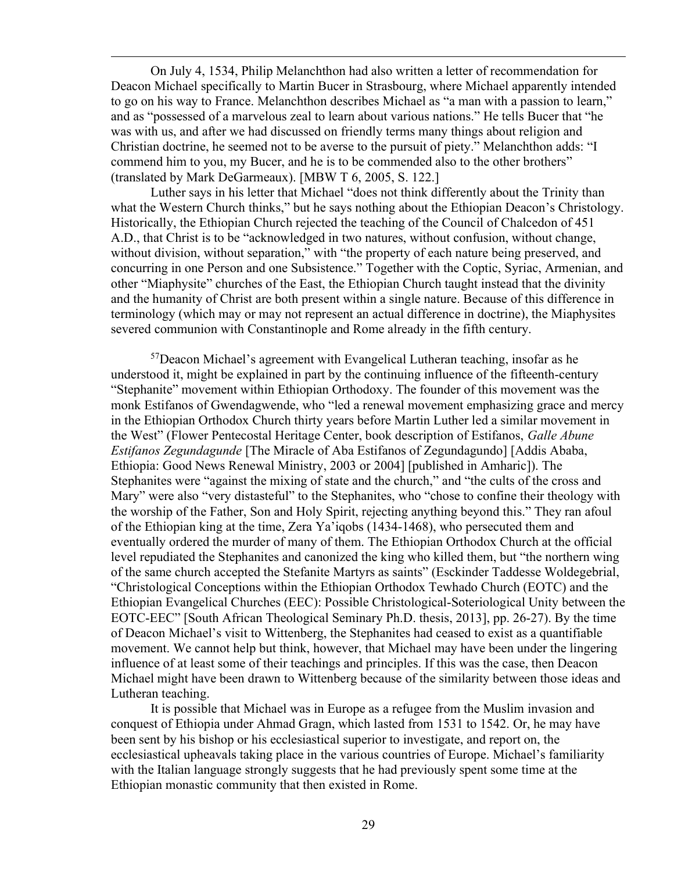On July 4, 1534, Philip Melanchthon had also written a letter of recommendation for Deacon Michael specifically to Martin Bucer in Strasbourg, where Michael apparently intended to go on his way to France. Melanchthon describes Michael as "a man with a passion to learn," and as "possessed of a marvelous zeal to learn about various nations." He tells Bucer that "he was with us, and after we had discussed on friendly terms many things about religion and Christian doctrine, he seemed not to be averse to the pursuit of piety." Melanchthon adds: "I commend him to you, my Bucer, and he is to be commended also to the other brothers" (translated by Mark DeGarmeaux). [MBW T 6, 2005, S. 122.]

Luther says in his letter that Michael "does not think differently about the Trinity than what the Western Church thinks," but he says nothing about the Ethiopian Deacon's Christology. Historically, the Ethiopian Church rejected the teaching of the Council of Chalcedon of 451 A.D., that Christ is to be "acknowledged in two natures, without confusion, without change, without division, without separation," with "the property of each nature being preserved, and concurring in one Person and one Subsistence." Together with the Coptic, Syriac, Armenian, and other "Miaphysite" churches of the East, the Ethiopian Church taught instead that the divinity and the humanity of Christ are both present within a single nature. Because of this difference in terminology (which may or may not represent an actual difference in doctrine), the Miaphysites severed communion with Constantinople and Rome already in the fifth century.

 $57$ Deacon Michael's agreement with Evangelical Lutheran teaching, insofar as he understood it, might be explained in part by the continuing influence of the fifteenth-century "Stephanite" movement within Ethiopian Orthodoxy. The founder of this movement was the monk Estifanos of Gwendagwende, who "led a renewal movement emphasizing grace and mercy in the Ethiopian Orthodox Church thirty years before Martin Luther led a similar movement in the West" (Flower Pentecostal Heritage Center, book description of Estifanos, Galle Abune Estifanos Zegundagunde [The Miracle of Aba Estifanos of Zegundagundo] [Addis Ababa, Ethiopia: Good News Renewal Ministry, 2003 or 2004] [published in Amharic]). The Stephanites were "against the mixing of state and the church," and "the cults of the cross and Mary" were also "very distasteful" to the Stephanites, who "chose to confine their theology with the worship of the Father, Son and Holy Spirit, rejecting anything beyond this." They ran afoul of the Ethiopian king at the time, Zera Ya'iqobs (1434-1468), who persecuted them and eventually ordered the murder of many of them. The Ethiopian Orthodox Church at the official level repudiated the Stephanites and canonized the king who killed them, but "the northern wing of the same church accepted the Stefanite Martyrs as saints" (Esckinder Taddesse Woldegebrial, "Christological Conceptions within the Ethiopian Orthodox Tewhado Church (EOTC) and the Ethiopian Evangelical Churches (EEC): Possible Christological-Soteriological Unity between the EOTC-EEC" [South African Theological Seminary Ph.D. thesis, 2013], pp. 26-27). By the time of Deacon Michael's visit to Wittenberg, the Stephanites had ceased to exist as a quantifiable movement. We cannot help but think, however, that Michael may have been under the lingering influence of at least some of their teachings and principles. If this was the case, then Deacon Michael might have been drawn to Wittenberg because of the similarity between those ideas and Lutheran teaching.

It is possible that Michael was in Europe as a refugee from the Muslim invasion and conquest of Ethiopia under Ahmad Gragn, which lasted from 1531 to 1542. Or, he may have been sent by his bishop or his ecclesiastical superior to investigate, and report on, the ecclesiastical upheavals taking place in the various countries of Europe. Michael's familiarity with the Italian language strongly suggests that he had previously spent some time at the Ethiopian monastic community that then existed in Rome.